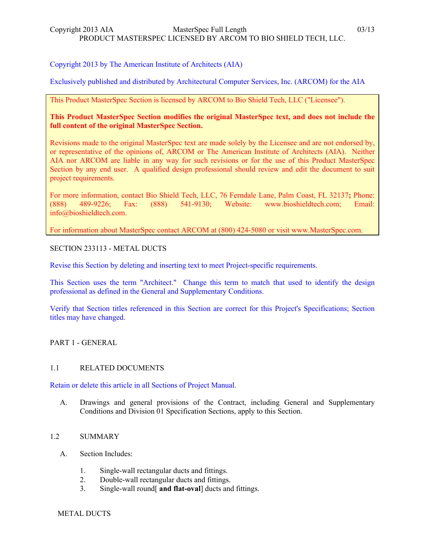# Copyright 2013 by The American Institute of Architects (AIA)

Exclusively published and distributed by Architectural Computer Services, Inc. (ARCOM) for the AIA

# This Product MasterSpec Section is licensed by ARCOM to Bio Shield Tech, LLC ("Licensee").

# **This Product MasterSpec Section modifies the original MasterSpec text, and does not include the full content of the original MasterSpec Section.**

Revisions made to the original MasterSpec text are made solely by the Licensee and are not endorsed by, or representative of the opinions of, ARCOM or The American Institute of Architects (AIA). Neither AIA nor ARCOM are liable in any way for such revisions or for the use of this Product MasterSpec Section by any end user. A qualified design professional should review and edit the document to suit project requirements.

For more information, contact Bio Shield Tech, LLC, 76 Ferndale Lane, Palm Coast, FL 32137**;** Phone: (888) 489-9226; Fax: (888) 541-9130; Website: www.bioshieldtech.com; Email: info@bioshieldtech.com.

For information about MasterSpec contact ARCOM at (800) 424-5080 or visit www.MasterSpec.com.

# SECTION 233113 - METAL DUCTS

Revise this Section by deleting and inserting text to meet Project-specific requirements.

This Section uses the term "Architect." Change this term to match that used to identify the design professional as defined in the General and Supplementary Conditions.

Verify that Section titles referenced in this Section are correct for this Project's Specifications; Section titles may have changed.

PART 1 - GENERAL

### 1.1 RELATED DOCUMENTS

Retain or delete this article in all Sections of Project Manual.

A. Drawings and general provisions of the Contract, including General and Supplementary Conditions and Division 01 Specification Sections, apply to this Section.

### 1.2 SUMMARY

- A. Section Includes:
	- 1. Single-wall rectangular ducts and fittings.
	- 2. Double-wall rectangular ducts and fittings.
	- 3. Single-wall round[ **and flat-oval**] ducts and fittings.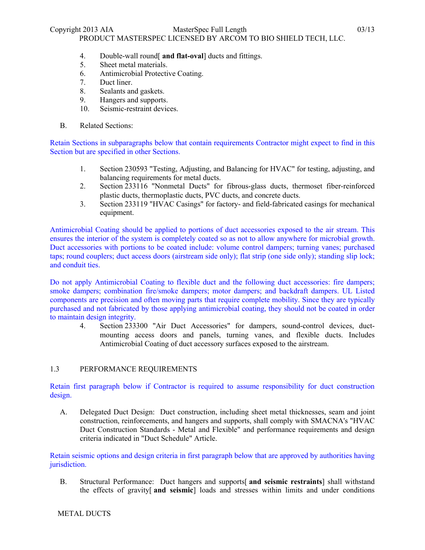Copyright 2013 AIA MasterSpec Full Length 03/13

PRODUCT MASTERSPEC LICENSED BY ARCOM TO BIO SHIELD TECH, LLC.

- 4. Double-wall round[ **and flat-oval**] ducts and fittings.
- 5. Sheet metal materials.
- 6. Antimicrobial Protective Coating.
- 7. Duct liner.
- 8. Sealants and gaskets.
- 9. Hangers and supports.
- 10. Seismic-restraint devices.
- B. Related Sections:

Retain Sections in subparagraphs below that contain requirements Contractor might expect to find in this Section but are specified in other Sections.

- 1. Section 230593 "Testing, Adjusting, and Balancing for HVAC" for testing, adjusting, and balancing requirements for metal ducts.
- 2. Section 233116 "Nonmetal Ducts" for fibrous-glass ducts, thermoset fiber-reinforced plastic ducts, thermoplastic ducts, PVC ducts, and concrete ducts.
- 3. Section 233119 "HVAC Casings" for factory- and field-fabricated casings for mechanical equipment.

Antimicrobial Coating should be applied to portions of duct accessories exposed to the air stream. This ensures the interior of the system is completely coated so as not to allow anywhere for microbial growth. Duct accessories with portions to be coated include: volume control dampers; turning vanes; purchased taps; round couplers; duct access doors (airstream side only); flat strip (one side only); standing slip lock; and conduit ties.

Do not apply Antimicrobial Coating to flexible duct and the following duct accessories: fire dampers; smoke dampers; combination fire/smoke dampers; motor dampers; and backdraft dampers. UL Listed components are precision and often moving parts that require complete mobility. Since they are typically purchased and not fabricated by those applying antimicrobial coating, they should not be coated in order to maintain design integrity.

4. Section 233300 "Air Duct Accessories" for dampers, sound-control devices, ductmounting access doors and panels, turning vanes, and flexible ducts. Includes Antimicrobial Coating of duct accessory surfaces exposed to the airstream.

# 1.3 PERFORMANCE REQUIREMENTS

Retain first paragraph below if Contractor is required to assume responsibility for duct construction design.

A. Delegated Duct Design: Duct construction, including sheet metal thicknesses, seam and joint construction, reinforcements, and hangers and supports, shall comply with SMACNA's "HVAC Duct Construction Standards - Metal and Flexible" and performance requirements and design criteria indicated in "Duct Schedule" Article.

Retain seismic options and design criteria in first paragraph below that are approved by authorities having jurisdiction.

B. Structural Performance: Duct hangers and supports[ **and seismic restraints**] shall withstand the effects of gravity[ **and seismic**] loads and stresses within limits and under conditions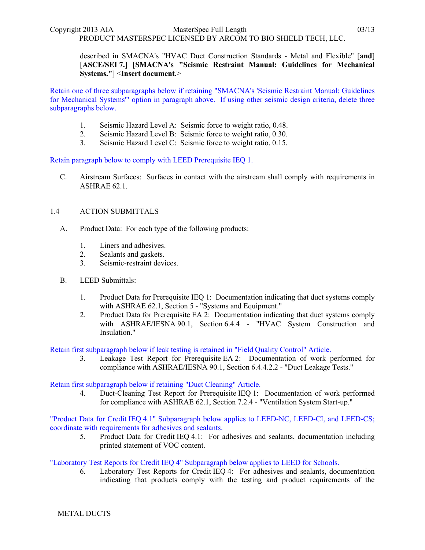described in SMACNA's "HVAC Duct Construction Standards - Metal and Flexible" [**and**] [**ASCE/SEI 7.**] [**SMACNA's "Seismic Restraint Manual: Guidelines for Mechanical Systems."**] <**Insert document.**>

Retain one of three subparagraphs below if retaining "SMACNA's 'Seismic Restraint Manual: Guidelines for Mechanical Systems'" option in paragraph above. If using other seismic design criteria, delete three subparagraphs below.

- 1. Seismic Hazard Level A: Seismic force to weight ratio, 0.48.
- 2. Seismic Hazard Level B: Seismic force to weight ratio, 0.30.
- 3. Seismic Hazard Level C: Seismic force to weight ratio, 0.15.

Retain paragraph below to comply with LEED Prerequisite IEQ 1.

C. Airstream Surfaces: Surfaces in contact with the airstream shall comply with requirements in ASHRAE 62.1.

# 1.4 ACTION SUBMITTALS

- A. Product Data: For each type of the following products:
	- 1. Liners and adhesives.
	- 2. Sealants and gaskets.
	- 3. Seismic-restraint devices.
- B. LEED Submittals:
	- 1. Product Data for Prerequisite IEQ 1: Documentation indicating that duct systems comply with ASHRAE 62.1, Section 5 - "Systems and Equipment."
	- 2. Product Data for Prerequisite EA 2: Documentation indicating that duct systems comply with ASHRAE/IESNA 90.1, Section 6.4.4 - "HVAC System Construction and Insulation."

Retain first subparagraph below if leak testing is retained in "Field Quality Control" Article.

3. Leakage Test Report for Prerequisite EA 2: Documentation of work performed for compliance with ASHRAE/IESNA 90.1, Section 6.4.4.2.2 - "Duct Leakage Tests."

# Retain first subparagraph below if retaining "Duct Cleaning" Article.

4. Duct-Cleaning Test Report for Prerequisite IEQ 1: Documentation of work performed for compliance with ASHRAE 62.1, Section 7.2.4 - "Ventilation System Start-up."

"Product Data for Credit IEQ 4.1" Subparagraph below applies to LEED-NC, LEED-CI, and LEED-CS; coordinate with requirements for adhesives and sealants.

5. Product Data for Credit IEQ 4.1: For adhesives and sealants, documentation including printed statement of VOC content.

# "Laboratory Test Reports for Credit IEQ 4" Subparagraph below applies to LEED for Schools.

6. Laboratory Test Reports for Credit IEQ 4: For adhesives and sealants, documentation indicating that products comply with the testing and product requirements of the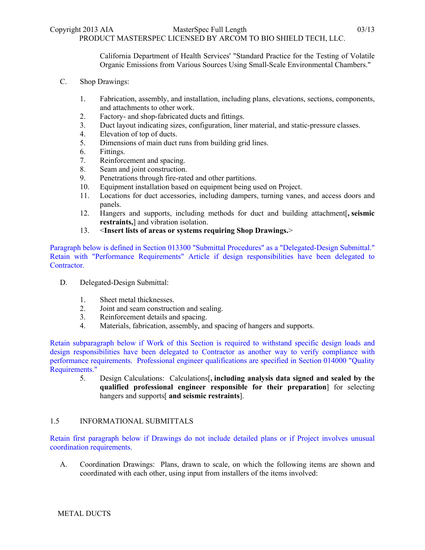California Department of Health Services' "Standard Practice for the Testing of Volatile Organic Emissions from Various Sources Using Small-Scale Environmental Chambers."

- C. Shop Drawings:
	- 1. Fabrication, assembly, and installation, including plans, elevations, sections, components, and attachments to other work.
	- 2. Factory- and shop-fabricated ducts and fittings.
	- 3. Duct layout indicating sizes, configuration, liner material, and static-pressure classes.
	- 4. Elevation of top of ducts.
	- 5. Dimensions of main duct runs from building grid lines.
	- 6. Fittings.
	- 7. Reinforcement and spacing.
	- 8. Seam and joint construction.
	- 9. Penetrations through fire-rated and other partitions.
	- 10. Equipment installation based on equipment being used on Project.
	- 11. Locations for duct accessories, including dampers, turning vanes, and access doors and panels.
	- 12. Hangers and supports, including methods for duct and building attachment[**, seismic restraints,**] and vibration isolation.
	- 13. <**Insert lists of areas or systems requiring Shop Drawings.**>

Paragraph below is defined in Section 013300 "Submittal Procedures" as a "Delegated-Design Submittal." Retain with "Performance Requirements" Article if design responsibilities have been delegated to Contractor.

- D. Delegated-Design Submittal:
	- 1. Sheet metal thicknesses.
	- 2. Joint and seam construction and sealing.
	- 3. Reinforcement details and spacing.
	- 4. Materials, fabrication, assembly, and spacing of hangers and supports.

Retain subparagraph below if Work of this Section is required to withstand specific design loads and design responsibilities have been delegated to Contractor as another way to verify compliance with performance requirements. Professional engineer qualifications are specified in Section 014000 "Quality Requirements."

5. Design Calculations: Calculations[**, including analysis data signed and sealed by the qualified professional engineer responsible for their preparation**] for selecting hangers and supports[ **and seismic restraints**].

# 1.5 INFORMATIONAL SUBMITTALS

Retain first paragraph below if Drawings do not include detailed plans or if Project involves unusual coordination requirements.

A. Coordination Drawings: Plans, drawn to scale, on which the following items are shown and coordinated with each other, using input from installers of the items involved: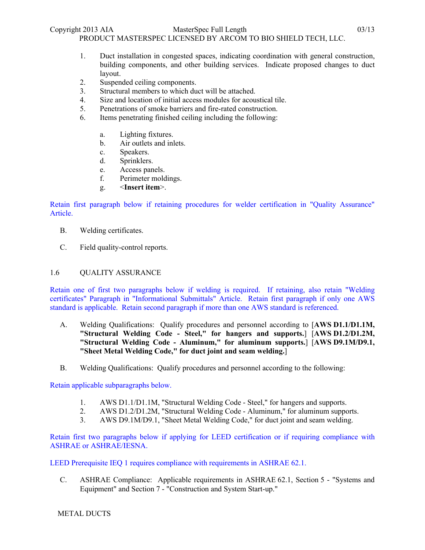- 1. Duct installation in congested spaces, indicating coordination with general construction, building components, and other building services. Indicate proposed changes to duct layout.
- 2. Suspended ceiling components.
- 3. Structural members to which duct will be attached.
- 4. Size and location of initial access modules for acoustical tile.
- 5. Penetrations of smoke barriers and fire-rated construction.
- 6. Items penetrating finished ceiling including the following:
	- a. Lighting fixtures.
	- b. Air outlets and inlets.
	- c. Speakers.
	- d. Sprinklers.
	- e. Access panels.
	- f. Perimeter moldings.
	- g. <**Insert item**>.

Retain first paragraph below if retaining procedures for welder certification in "Quality Assurance" Article.

- B. Welding certificates.
- C. Field quality-control reports.

### 1.6 QUALITY ASSURANCE

Retain one of first two paragraphs below if welding is required. If retaining, also retain "Welding certificates" Paragraph in "Informational Submittals" Article. Retain first paragraph if only one AWS standard is applicable. Retain second paragraph if more than one AWS standard is referenced.

- A. Welding Qualifications: Qualify procedures and personnel according to [**AWS D1.1/D1.1M, "Structural Welding Code - Steel," for hangers and supports.**] [**AWS D1.2/D1.2M, "Structural Welding Code - Aluminum," for aluminum supports.**] [**AWS D9.1M/D9.1, "Sheet Metal Welding Code," for duct joint and seam welding.**]
- B. Welding Qualifications: Qualify procedures and personnel according to the following:

### Retain applicable subparagraphs below.

- 1. AWS D1.1/D1.1M, "Structural Welding Code Steel," for hangers and supports.
- 2. AWS D1.2/D1.2M, "Structural Welding Code Aluminum," for aluminum supports.
- 3. AWS D9.1M/D9.1, "Sheet Metal Welding Code," for duct joint and seam welding.

Retain first two paragraphs below if applying for LEED certification or if requiring compliance with ASHRAE or ASHRAE/IESNA.

LEED Prerequisite IEQ 1 requires compliance with requirements in ASHRAE 62.1.

C. ASHRAE Compliance: Applicable requirements in ASHRAE 62.1, Section 5 - "Systems and Equipment" and Section 7 - "Construction and System Start-up."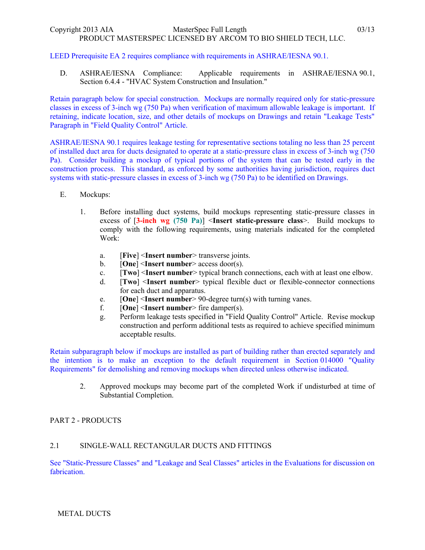## LEED Prerequisite EA 2 requires compliance with requirements in ASHRAE/IESNA 90.1.

D. ASHRAE/IESNA Compliance: Applicable requirements in ASHRAE/IESNA 90.1, Section 6.4.4 - "HVAC System Construction and Insulation."

Retain paragraph below for special construction. Mockups are normally required only for static-pressure classes in excess of 3-inch wg (750 Pa) when verification of maximum allowable leakage is important. If retaining, indicate location, size, and other details of mockups on Drawings and retain "Leakage Tests" Paragraph in "Field Quality Control" Article.

ASHRAE/IESNA 90.1 requires leakage testing for representative sections totaling no less than 25 percent of installed duct area for ducts designated to operate at a static-pressure class in excess of 3-inch wg (750 Pa). Consider building a mockup of typical portions of the system that can be tested early in the construction process. This standard, as enforced by some authorities having jurisdiction, requires duct systems with static-pressure classes in excess of 3-inch wg (750 Pa) to be identified on Drawings.

- E. Mockups:
	- 1. Before installing duct systems, build mockups representing static-pressure classes in excess of [**3-inch wg (750 Pa)**] <**Insert static-pressure class**>. Build mockups to comply with the following requirements, using materials indicated for the completed Work:
		- a. [**Five**] <**Insert number**> transverse joints.
		- b. [**One**] <**Insert number**> access door(s).
		- c. [**Two**] <**Insert number**> typical branch connections, each with at least one elbow.
		- d. [**Two**] <**Insert number**> typical flexible duct or flexible-connector connections for each duct and apparatus.
		- e. [**One**] <**Insert number**> 90-degree turn(s) with turning vanes.
		- f. [**One**] <**Insert number**> fire damper(s).
		- g. Perform leakage tests specified in "Field Quality Control" Article. Revise mockup construction and perform additional tests as required to achieve specified minimum acceptable results.

Retain subparagraph below if mockups are installed as part of building rather than erected separately and the intention is to make an exception to the default requirement in Section 014000 "Quality Requirements" for demolishing and removing mockups when directed unless otherwise indicated.

2. Approved mockups may become part of the completed Work if undisturbed at time of Substantial Completion.

# PART 2 - PRODUCTS

### 2.1 SINGLE-WALL RECTANGULAR DUCTS AND FITTINGS

See "Static-Pressure Classes" and "Leakage and Seal Classes" articles in the Evaluations for discussion on fabrication.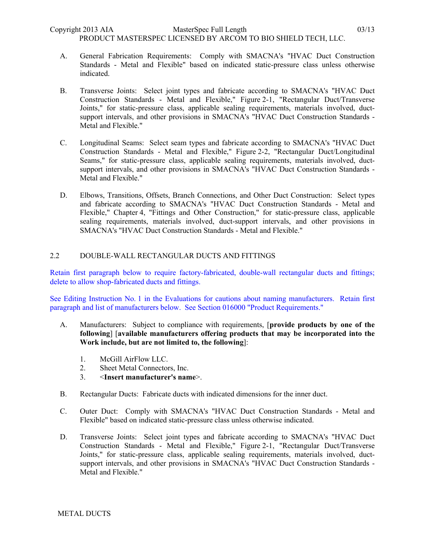PRODUCT MASTERSPEC LICENSED BY ARCOM TO BIO SHIELD TECH, LLC.

- A. General Fabrication Requirements: Comply with SMACNA's "HVAC Duct Construction Standards - Metal and Flexible" based on indicated static-pressure class unless otherwise indicated.
- B. Transverse Joints: Select joint types and fabricate according to SMACNA's "HVAC Duct Construction Standards - Metal and Flexible," Figure 2-1, "Rectangular Duct/Transverse Joints," for static-pressure class, applicable sealing requirements, materials involved, ductsupport intervals, and other provisions in SMACNA's "HVAC Duct Construction Standards - Metal and Flexible."
- C. Longitudinal Seams: Select seam types and fabricate according to SMACNA's "HVAC Duct Construction Standards - Metal and Flexible," Figure 2-2, "Rectangular Duct/Longitudinal Seams," for static-pressure class, applicable sealing requirements, materials involved, ductsupport intervals, and other provisions in SMACNA's "HVAC Duct Construction Standards - Metal and Flexible."
- D. Elbows, Transitions, Offsets, Branch Connections, and Other Duct Construction: Select types and fabricate according to SMACNA's "HVAC Duct Construction Standards - Metal and Flexible," Chapter 4, "Fittings and Other Construction," for static-pressure class, applicable sealing requirements, materials involved, duct-support intervals, and other provisions in SMACNA's "HVAC Duct Construction Standards - Metal and Flexible."

# 2.2 DOUBLE-WALL RECTANGULAR DUCTS AND FITTINGS

Retain first paragraph below to require factory-fabricated, double-wall rectangular ducts and fittings; delete to allow shop-fabricated ducts and fittings.

See Editing Instruction No. 1 in the Evaluations for cautions about naming manufacturers. Retain first paragraph and list of manufacturers below. See Section 016000 "Product Requirements."

- A. Manufacturers: Subject to compliance with requirements, [**provide products by one of the following**] [**available manufacturers offering products that may be incorporated into the Work include, but are not limited to, the following**]:
	- 1. McGill AirFlow LLC.
	- 2. Sheet Metal Connectors, Inc.
	- 3. <**Insert manufacturer's name**>.
- B. Rectangular Ducts: Fabricate ducts with indicated dimensions for the inner duct.
- C. Outer Duct: Comply with SMACNA's "HVAC Duct Construction Standards Metal and Flexible" based on indicated static-pressure class unless otherwise indicated.
- D. Transverse Joints: Select joint types and fabricate according to SMACNA's "HVAC Duct Construction Standards - Metal and Flexible," Figure 2-1, "Rectangular Duct/Transverse Joints," for static-pressure class, applicable sealing requirements, materials involved, ductsupport intervals, and other provisions in SMACNA's "HVAC Duct Construction Standards - Metal and Flexible."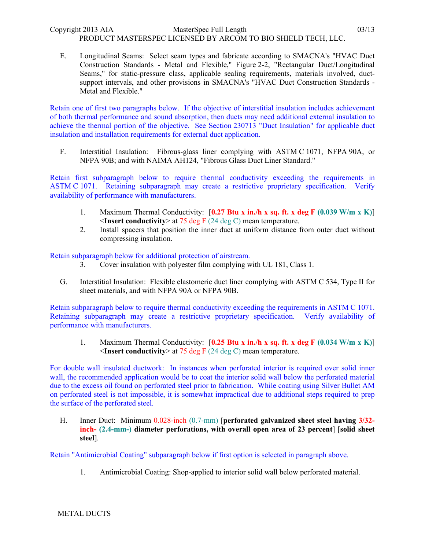E. Longitudinal Seams: Select seam types and fabricate according to SMACNA's "HVAC Duct Construction Standards - Metal and Flexible," Figure 2-2, "Rectangular Duct/Longitudinal Seams," for static-pressure class, applicable sealing requirements, materials involved, ductsupport intervals, and other provisions in SMACNA's "HVAC Duct Construction Standards - Metal and Flexible."

Retain one of first two paragraphs below. If the objective of interstitial insulation includes achievement of both thermal performance and sound absorption, then ducts may need additional external insulation to achieve the thermal portion of the objective. See Section 230713 "Duct Insulation" for applicable duct insulation and installation requirements for external duct application.

F. Interstitial Insulation: Fibrous-glass liner complying with ASTM C 1071, NFPA 90A, or NFPA 90B; and with NAIMA AH124, "Fibrous Glass Duct Liner Standard."

Retain first subparagraph below to require thermal conductivity exceeding the requirements in ASTM C 1071. Retaining subparagraph may create a restrictive proprietary specification. Verify availability of performance with manufacturers.

- 1. Maximum Thermal Conductivity: [**0.27 Btu x in./h x sq. ft. x deg F (0.039 W/m x K)**] <**Insert conductivity**> at 75 deg F (24 deg C) mean temperature.
- 2. Install spacers that position the inner duct at uniform distance from outer duct without compressing insulation.

Retain subparagraph below for additional protection of airstream.

- 3. Cover insulation with polyester film complying with UL 181, Class 1.
- G. Interstitial Insulation: Flexible elastomeric duct liner complying with ASTM C 534, Type II for sheet materials, and with NFPA 90A or NFPA 90B.

Retain subparagraph below to require thermal conductivity exceeding the requirements in ASTM C 1071. Retaining subparagraph may create a restrictive proprietary specification. Verify availability of performance with manufacturers.

1. Maximum Thermal Conductivity: [**0.25 Btu x in./h x sq. ft. x deg F (0.034 W/m x K)**] <**Insert conductivity**> at 75 deg F (24 deg C) mean temperature.

For double wall insulated ductwork: In instances when perforated interior is required over solid inner wall, the recommended application would be to coat the interior solid wall below the perforated material due to the excess oil found on perforated steel prior to fabrication. While coating using Silver Bullet AM on perforated steel is not impossible, it is somewhat impractical due to additional steps required to prep the surface of the perforated steel.

H. Inner Duct: Minimum 0.028-inch (0.7-mm) [**perforated galvanized sheet steel having 3/32 inch- (2.4-mm-) diameter perforations, with overall open area of 23 percent**] [**solid sheet steel**].

Retain "Antimicrobial Coating" subparagraph below if first option is selected in paragraph above.

1. Antimicrobial Coating: Shop-applied to interior solid wall below perforated material.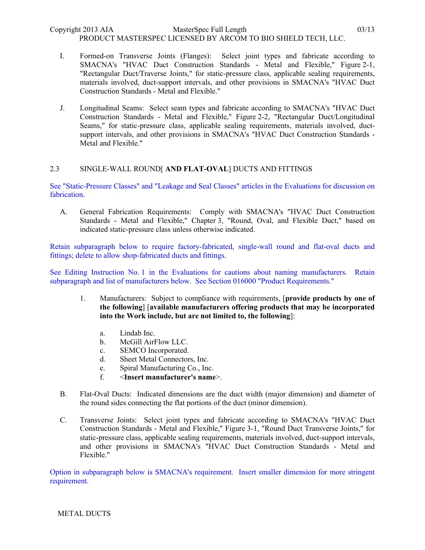- I. Formed-on Transverse Joints (Flanges): Select joint types and fabricate according to SMACNA's "HVAC Duct Construction Standards - Metal and Flexible," Figure 2-1, "Rectangular Duct/Traverse Joints," for static-pressure class, applicable sealing requirements, materials involved, duct-support intervals, and other provisions in SMACNA's "HVAC Duct Construction Standards - Metal and Flexible."
- J. Longitudinal Seams: Select seam types and fabricate according to SMACNA's "HVAC Duct Construction Standards - Metal and Flexible," Figure 2-2, "Rectangular Duct/Longitudinal Seams," for static-pressure class, applicable sealing requirements, materials involved, ductsupport intervals, and other provisions in SMACNA's "HVAC Duct Construction Standards - Metal and Flexible."

# 2.3 SINGLE-WALL ROUND[ **AND FLAT-OVAL**] DUCTS AND FITTINGS

See "Static-Pressure Classes" and "Leakage and Seal Classes" articles in the Evaluations for discussion on fabrication.

A. General Fabrication Requirements: Comply with SMACNA's "HVAC Duct Construction Standards - Metal and Flexible," Chapter 3, "Round, Oval, and Flexible Duct," based on indicated static-pressure class unless otherwise indicated.

Retain subparagraph below to require factory-fabricated, single-wall round and flat-oval ducts and fittings; delete to allow shop-fabricated ducts and fittings.

See Editing Instruction No. 1 in the Evaluations for cautions about naming manufacturers. Retain subparagraph and list of manufacturers below. See Section 016000 "Product Requirements."

- 1. Manufacturers: Subject to compliance with requirements, [**provide products by one of the following**] [**available manufacturers offering products that may be incorporated into the Work include, but are not limited to, the following**]:
	- a. Lindab Inc.
	- b. McGill AirFlow LLC.
	- c. SEMCO Incorporated.
	- d. Sheet Metal Connectors, Inc.
	- e. Spiral Manufacturing Co., Inc.
	- f. <**Insert manufacturer's name**>.
- B. Flat-Oval Ducts: Indicated dimensions are the duct width (major dimension) and diameter of the round sides connecting the flat portions of the duct (minor dimension).
- C. Transverse Joints: Select joint types and fabricate according to SMACNA's "HVAC Duct Construction Standards - Metal and Flexible," Figure 3-1, "Round Duct Transverse Joints," for static-pressure class, applicable sealing requirements, materials involved, duct-support intervals, and other provisions in SMACNA's "HVAC Duct Construction Standards - Metal and Flexible."

Option in subparagraph below is SMACNA's requirement. Insert smaller dimension for more stringent requirement.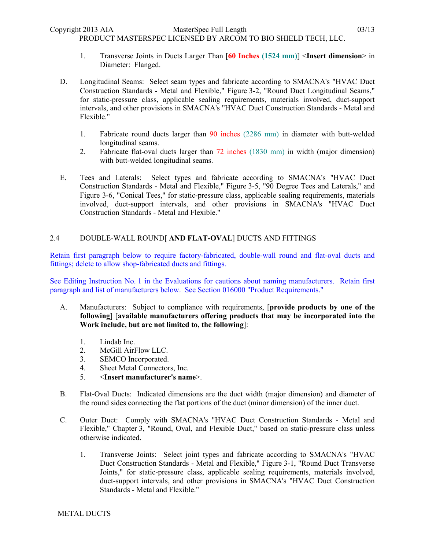PRODUCT MASTERSPEC LICENSED BY ARCOM TO BIO SHIELD TECH, LLC.

- 1. Transverse Joints in Ducts Larger Than [**60 Inches (1524 mm)**] <**Insert dimension**> in Diameter: Flanged.
- D. Longitudinal Seams: Select seam types and fabricate according to SMACNA's "HVAC Duct Construction Standards - Metal and Flexible," Figure 3-2, "Round Duct Longitudinal Seams," for static-pressure class, applicable sealing requirements, materials involved, duct-support intervals, and other provisions in SMACNA's "HVAC Duct Construction Standards - Metal and Flexible."
	- 1. Fabricate round ducts larger than 90 inches (2286 mm) in diameter with butt-welded longitudinal seams.
	- 2. Fabricate flat-oval ducts larger than 72 inches (1830 mm) in width (major dimension) with butt-welded longitudinal seams.
- E. Tees and Laterals: Select types and fabricate according to SMACNA's "HVAC Duct Construction Standards - Metal and Flexible," Figure 3-5, "90 Degree Tees and Laterals," and Figure 3-6, "Conical Tees," for static-pressure class, applicable sealing requirements, materials involved, duct-support intervals, and other provisions in SMACNA's "HVAC Duct Construction Standards - Metal and Flexible."

# 2.4 DOUBLE-WALL ROUND[ **AND FLAT-OVAL**] DUCTS AND FITTINGS

Retain first paragraph below to require factory-fabricated, double-wall round and flat-oval ducts and fittings; delete to allow shop-fabricated ducts and fittings.

See Editing Instruction No. 1 in the Evaluations for cautions about naming manufacturers. Retain first paragraph and list of manufacturers below. See Section 016000 "Product Requirements."

- A. Manufacturers: Subject to compliance with requirements, [**provide products by one of the following**] [**available manufacturers offering products that may be incorporated into the Work include, but are not limited to, the following**]:
	- 1. Lindab Inc.
	- 2. McGill AirFlow LLC.
	- 3. SEMCO Incorporated.
	- 4. Sheet Metal Connectors, Inc.
	- 5. <**Insert manufacturer's name**>.
- B. Flat-Oval Ducts: Indicated dimensions are the duct width (major dimension) and diameter of the round sides connecting the flat portions of the duct (minor dimension) of the inner duct.
- C. Outer Duct: Comply with SMACNA's "HVAC Duct Construction Standards Metal and Flexible," Chapter 3, "Round, Oval, and Flexible Duct," based on static-pressure class unless otherwise indicated.
	- 1. Transverse Joints: Select joint types and fabricate according to SMACNA's "HVAC Duct Construction Standards - Metal and Flexible," Figure 3-1, "Round Duct Transverse Joints," for static-pressure class, applicable sealing requirements, materials involved, duct-support intervals, and other provisions in SMACNA's "HVAC Duct Construction Standards - Metal and Flexible."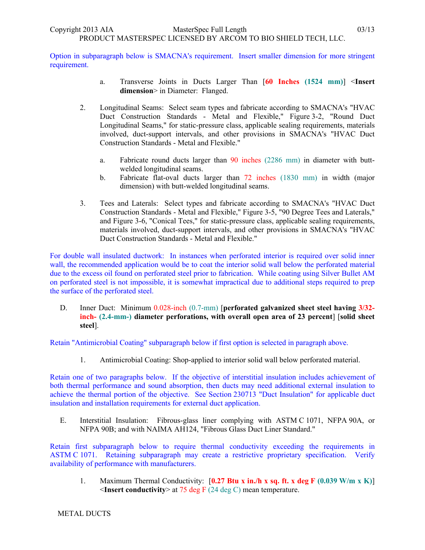Option in subparagraph below is SMACNA's requirement. Insert smaller dimension for more stringent requirement.

- a. Transverse Joints in Ducts Larger Than [**60 Inches (1524 mm)**] <**Insert dimension**> in Diameter: Flanged.
- 2. Longitudinal Seams: Select seam types and fabricate according to SMACNA's "HVAC Duct Construction Standards - Metal and Flexible," Figure 3-2, "Round Duct Longitudinal Seams," for static-pressure class, applicable sealing requirements, materials involved, duct-support intervals, and other provisions in SMACNA's "HVAC Duct Construction Standards - Metal and Flexible."
	- a. Fabricate round ducts larger than 90 inches (2286 mm) in diameter with buttwelded longitudinal seams.
	- b. Fabricate flat-oval ducts larger than 72 inches (1830 mm) in width (major dimension) with butt-welded longitudinal seams.
- 3. Tees and Laterals: Select types and fabricate according to SMACNA's "HVAC Duct Construction Standards - Metal and Flexible," Figure 3-5, "90 Degree Tees and Laterals," and Figure 3-6, "Conical Tees," for static-pressure class, applicable sealing requirements, materials involved, duct-support intervals, and other provisions in SMACNA's "HVAC Duct Construction Standards - Metal and Flexible."

For double wall insulated ductwork: In instances when perforated interior is required over solid inner wall, the recommended application would be to coat the interior solid wall below the perforated material due to the excess oil found on perforated steel prior to fabrication. While coating using Silver Bullet AM on perforated steel is not impossible, it is somewhat impractical due to additional steps required to prep the surface of the perforated steel.

D. Inner Duct: Minimum 0.028-inch (0.7-mm) [**perforated galvanized sheet steel having 3/32 inch- (2.4-mm-) diameter perforations, with overall open area of 23 percent**] [**solid sheet steel**].

Retain "Antimicrobial Coating" subparagraph below if first option is selected in paragraph above.

1. Antimicrobial Coating: Shop-applied to interior solid wall below perforated material.

Retain one of two paragraphs below. If the objective of interstitial insulation includes achievement of both thermal performance and sound absorption, then ducts may need additional external insulation to achieve the thermal portion of the objective. See Section 230713 "Duct Insulation" for applicable duct insulation and installation requirements for external duct application.

E. Interstitial Insulation: Fibrous-glass liner complying with ASTM C 1071, NFPA 90A, or NFPA 90B; and with NAIMA AH124, "Fibrous Glass Duct Liner Standard."

Retain first subparagraph below to require thermal conductivity exceeding the requirements in ASTM C 1071. Retaining subparagraph may create a restrictive proprietary specification. Verify availability of performance with manufacturers.

1. Maximum Thermal Conductivity: [**0.27 Btu x in./h x sq. ft. x deg F (0.039 W/m x K)**] <**Insert conductivity**> at 75 deg F (24 deg C) mean temperature.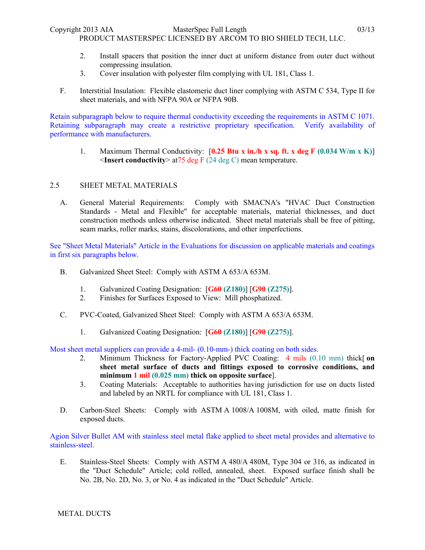Copyright 2013 AIA MasterSpec Full Length 03/13

PRODUCT MASTERSPEC LICENSED BY ARCOM TO BIO SHIELD TECH, LLC.

- 2. Install spacers that position the inner duct at uniform distance from outer duct without compressing insulation.
- 3. Cover insulation with polyester film complying with UL 181, Class 1.
- F. Interstitial Insulation: Flexible elastomeric duct liner complying with ASTM C 534, Type II for sheet materials, and with NFPA 90A or NFPA 90B.

Retain subparagraph below to require thermal conductivity exceeding the requirements in ASTM C 1071. Retaining subparagraph may create a restrictive proprietary specification. Verify availability of performance with manufacturers.

1. Maximum Thermal Conductivity: [**0.25 Btu x in./h x sq. ft. x deg F (0.034 W/m x K)**] <**Insert conductivity**> at75 deg F (24 deg C) mean temperature.

## 2.5 SHEET METAL MATERIALS

A. General Material Requirements: Comply with SMACNA's "HVAC Duct Construction Standards - Metal and Flexible" for acceptable materials, material thicknesses, and duct construction methods unless otherwise indicated. Sheet metal materials shall be free of pitting, seam marks, roller marks, stains, discolorations, and other imperfections.

See "Sheet Metal Materials" Article in the Evaluations for discussion on applicable materials and coatings in first six paragraphs below.

- B. Galvanized Sheet Steel: Comply with ASTM A 653/A 653M.
	- 1. Galvanized Coating Designation: [**G60 (Z180)**] [**G90 (Z275)**].
	- 2. Finishes for Surfaces Exposed to View: Mill phosphatized.
- C. PVC-Coated, Galvanized Sheet Steel: Comply with ASTM A 653/A 653M.
	- 1. Galvanized Coating Designation: [**G60 (Z180)**] [**G90 (Z275)**].

Most sheet metal suppliers can provide a 4-mil- (0.10-mm-) thick coating on both sides.

- 2. Minimum Thickness for Factory-Applied PVC Coating: 4 mils (0.10 mm) thick[ **on sheet metal surface of ducts and fittings exposed to corrosive conditions, and minimum 1 mil (0.025 mm) thick on opposite surface**].
- 3. Coating Materials: Acceptable to authorities having jurisdiction for use on ducts listed and labeled by an NRTL for compliance with UL 181, Class 1.
- D. Carbon-Steel Sheets: Comply with ASTM A 1008/A 1008M, with oiled, matte finish for exposed ducts.

Agion Silver Bullet AM with stainless steel metal flake applied to sheet metal provides and alternative to stainless-steel.

E. Stainless-Steel Sheets: Comply with ASTM A 480/A 480M, Type 304 or 316, as indicated in the "Duct Schedule" Article; cold rolled, annealed, sheet. Exposed surface finish shall be No. 2B, No. 2D, No. 3, or No. 4 as indicated in the "Duct Schedule" Article.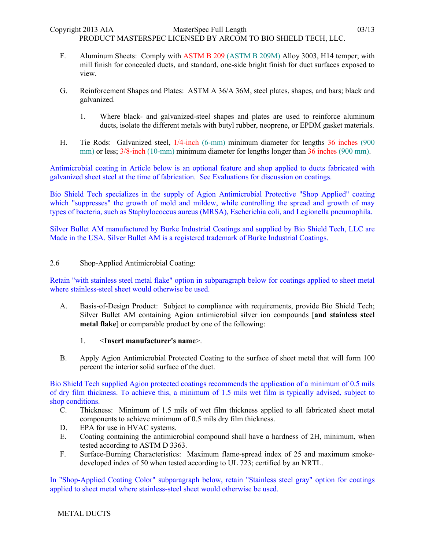- F. Aluminum Sheets: Comply with ASTM B 209 (ASTM B 209M) Alloy 3003, H14 temper; with mill finish for concealed ducts, and standard, one-side bright finish for duct surfaces exposed to view.
- G. Reinforcement Shapes and Plates: ASTM A 36/A 36M, steel plates, shapes, and bars; black and galvanized.
	- 1. Where black- and galvanized-steel shapes and plates are used to reinforce aluminum ducts, isolate the different metals with butyl rubber, neoprene, or EPDM gasket materials.
- H. Tie Rods: Galvanized steel, 1/4-inch (6-mm) minimum diameter for lengths 36 inches (900 mm) or less;  $3/8$ -inch (10-mm) minimum diameter for lengths longer than 36 inches (900 mm).

Antimicrobial coating in Article below is an optional feature and shop applied to ducts fabricated with galvanized sheet steel at the time of fabrication. See Evaluations for discussion on coatings.

Bio Shield Tech specializes in the supply of Agion Antimicrobial Protective "Shop Applied" coating which "suppresses" the growth of mold and mildew, while controlling the spread and growth of may types of bacteria, such as Staphylococcus aureus (MRSA), Escherichia coli, and Legionella pneumophila.

Silver Bullet AM manufactured by Burke Industrial Coatings and supplied by Bio Shield Tech, LLC are Made in the USA. Silver Bullet AM is a registered trademark of Burke Industrial Coatings.

## 2.6 Shop-Applied Antimicrobial Coating:

Retain "with stainless steel metal flake" option in subparagraph below for coatings applied to sheet metal where stainless-steel sheet would otherwise be used.

- A. Basis-of-Design Product: Subject to compliance with requirements, provide Bio Shield Tech; Silver Bullet AM containing Agion antimicrobial silver ion compounds [**and stainless steel metal flake**] or comparable product by one of the following:
	- 1. <**Insert manufacturer's name**>.
- B. Apply Agion Antimicrobial Protected Coating to the surface of sheet metal that will form 100 percent the interior solid surface of the duct.

Bio Shield Tech supplied Agion protected coatings recommends the application of a minimum of 0.5 mils of dry film thickness. To achieve this, a minimum of 1.5 mils wet film is typically advised, subject to shop conditions.

- C. Thickness: Minimum of 1.5 mils of wet film thickness applied to all fabricated sheet metal components to achieve minimum of 0.5 mils dry film thickness.
- D. EPA for use in HVAC systems.
- E. Coating containing the antimicrobial compound shall have a hardness of 2H, minimum, when tested according to ASTM D 3363.
- F. Surface-Burning Characteristics: Maximum flame-spread index of 25 and maximum smokedeveloped index of 50 when tested according to UL 723; certified by an NRTL.

In "Shop-Applied Coating Color" subparagraph below, retain "Stainless steel gray" option for coatings applied to sheet metal where stainless-steel sheet would otherwise be used.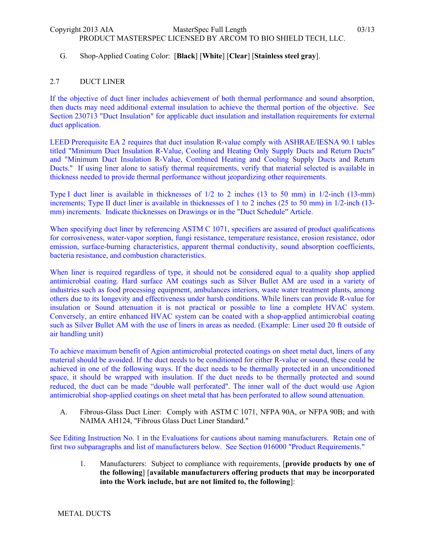# G. Shop-Applied Coating Color: [**Black**] [**White**] [**Clear**] [**Stainless steel gray**].

### 2.7 DUCT LINER

If the objective of duct liner includes achievement of both thermal performance and sound absorption, then ducts may need additional external insulation to achieve the thermal portion of the objective. See Section 230713 "Duct Insulation" for applicable duct insulation and installation requirements for external duct application.

LEED Prerequisite EA 2 requires that duct insulation R-value comply with ASHRAE/IESNA 90.1 tables titled "Minimum Duct Insulation R-Value, Cooling and Heating Only Supply Ducts and Return Ducts" and "Minimum Duct Insulation R-Value, Combined Heating and Cooling Supply Ducts and Return Ducts." If using liner alone to satisfy thermal requirements, verify that material selected is available in thickness needed to provide thermal performance without jeopardizing other requirements.

Type I duct liner is available in thicknesses of 1/2 to 2 inches (13 to 50 mm) in 1/2-inch (13-mm) increments; Type II duct liner is available in thicknesses of 1 to 2 inches (25 to 50 mm) in 1/2-inch (13mm) increments. Indicate thicknesses on Drawings or in the "Duct Schedule" Article.

When specifying duct liner by referencing ASTM C 1071, specifiers are assured of product qualifications for corrosiveness, water-vapor sorption, fungi resistance, temperature resistance, erosion resistance, odor emission, surface-burning characteristics, apparent thermal conductivity, sound absorption coefficients, bacteria resistance, and combustion characteristics.

When liner is required regardless of type, it should not be considered equal to a quality shop applied antimicrobial coating. Hard surface AM coatings such as Silver Bullet AM are used in a variety of industries such as food processing equipment, ambulances interiors, waste water treatment plants, among others due to its longevity and effectiveness under harsh conditions. While liners can provide R-value for insulation or Sound attenuation it is not practical or possible to line a complete HVAC system. Conversely, an entire enhanced HVAC system can be coated with a shop-applied antimicrobial coating such as Silver Bullet AM with the use of liners in areas as needed. (Example: Liner used 20 ft outside of air handling unit)

To achieve maximum benefit of Agion antimicrobial protected coatings on sheet metal duct, liners of any material should be avoided. If the duct needs to be conditioned for either R-value or sound, these could be achieved in one of the following ways. If the duct needs to be thermally protected in an unconditioned space, it should be wrapped with insulation. If the duct needs to be thermally protected and sound reduced, the duct can be made "double wall perforated". The inner wall of the duct would use Agion antimicrobial shop-applied coatings on sheet metal that has been perforated to allow sound attenuation.

A. Fibrous-Glass Duct Liner: Comply with ASTM C 1071, NFPA 90A, or NFPA 90B; and with NAIMA AH124, "Fibrous Glass Duct Liner Standard."

See Editing Instruction No. 1 in the Evaluations for cautions about naming manufacturers. Retain one of first two subparagraphs and list of manufacturers below. See Section 016000 "Product Requirements."

1. Manufacturers: Subject to compliance with requirements, [**provide products by one of the following**] [**available manufacturers offering products that may be incorporated into the Work include, but are not limited to, the following**]: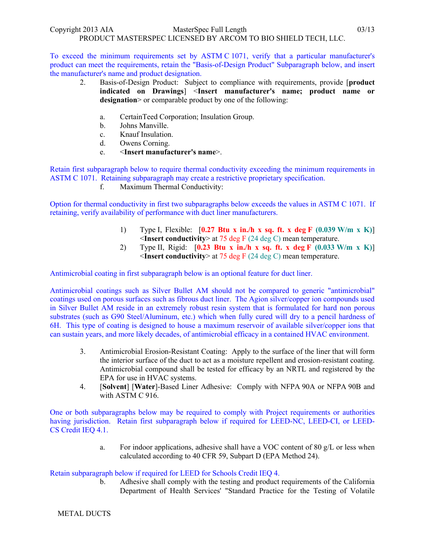To exceed the minimum requirements set by ASTM C 1071, verify that a particular manufacturer's product can meet the requirements, retain the "Basis-of-Design Product" Subparagraph below, and insert the manufacturer's name and product designation.

- 2. Basis-of-Design Product: Subject to compliance with requirements, provide [**product indicated on Drawings**] <**Insert manufacturer's name; product name or**  designation> or comparable product by one of the following:
	- a. CertainTeed Corporation; Insulation Group.
	- b. Johns Manville.
	- c. Knauf Insulation.
	- d. Owens Corning.
	- e. <**Insert manufacturer's name**>.

Retain first subparagraph below to require thermal conductivity exceeding the minimum requirements in ASTM C 1071. Retaining subparagraph may create a restrictive proprietary specification.

f. Maximum Thermal Conductivity:

Option for thermal conductivity in first two subparagraphs below exceeds the values in ASTM C 1071. If retaining, verify availability of performance with duct liner manufacturers.

- 1) Type I, Flexible: [**0.27 Btu x in./h x sq. ft. x deg F (0.039 W/m x K)**] <**Insert conductivity**> at 75 deg F (24 deg C) mean temperature.
- 2) Type II, Rigid: [**0.23 Btu x in./h x sq. ft. x deg F (0.033 W/m x K)**] <**Insert conductivity**> at 75 deg F (24 deg C) mean temperature.

Antimicrobial coating in first subparagraph below is an optional feature for duct liner.

Antimicrobial coatings such as Silver Bullet AM should not be compared to generic "antimicrobial" coatings used on porous surfaces such as fibrous duct liner. The Agion silver/copper ion compounds used in Silver Bullet AM reside in an extremely robust resin system that is formulated for hard non porous substrates (such as G90 Steel/Aluminum, etc.) which when fully cured will dry to a pencil hardness of 6H. This type of coating is designed to house a maximum reservoir of available silver/copper ions that can sustain years, and more likely decades, of antimicrobial efficacy in a contained HVAC environment.

- 3. Antimicrobial Erosion-Resistant Coating: Apply to the surface of the liner that will form the interior surface of the duct to act as a moisture repellent and erosion-resistant coating. Antimicrobial compound shall be tested for efficacy by an NRTL and registered by the EPA for use in HVAC systems.
- 4. [**Solvent**] [**Water**]-Based Liner Adhesive: Comply with NFPA 90A or NFPA 90B and with ASTM C 916.

One or both subparagraphs below may be required to comply with Project requirements or authorities having jurisdiction. Retain first subparagraph below if required for LEED-NC, LEED-CI, or LEED-CS Credit IEQ 4.1.

> a. For indoor applications, adhesive shall have a VOC content of 80 g/L or less when calculated according to 40 CFR 59, Subpart D (EPA Method 24).

Retain subparagraph below if required for LEED for Schools Credit IEQ 4.

b. Adhesive shall comply with the testing and product requirements of the California Department of Health Services' "Standard Practice for the Testing of Volatile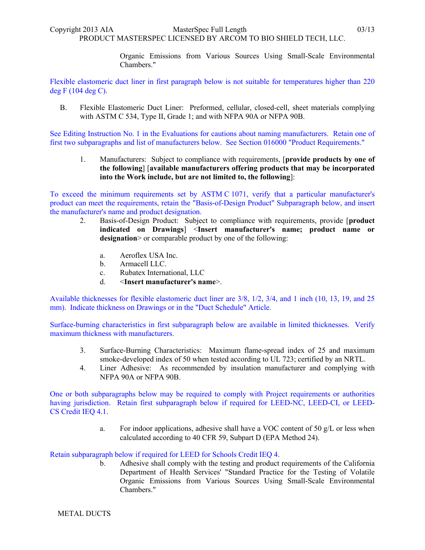Organic Emissions from Various Sources Using Small-Scale Environmental Chambers."

Flexible elastomeric duct liner in first paragraph below is not suitable for temperatures higher than 220 deg F (104 deg C).

B. Flexible Elastomeric Duct Liner: Preformed, cellular, closed-cell, sheet materials complying with ASTM C 534, Type II, Grade 1; and with NFPA 90A or NFPA 90B.

See Editing Instruction No. 1 in the Evaluations for cautions about naming manufacturers. Retain one of first two subparagraphs and list of manufacturers below. See Section 016000 "Product Requirements."

1. Manufacturers: Subject to compliance with requirements, [**provide products by one of the following**] [**available manufacturers offering products that may be incorporated into the Work include, but are not limited to, the following**]:

To exceed the minimum requirements set by ASTM C 1071, verify that a particular manufacturer's product can meet the requirements, retain the "Basis-of-Design Product" Subparagraph below, and insert the manufacturer's name and product designation.

- 2. Basis-of-Design Product: Subject to compliance with requirements, provide [**product indicated on Drawings**] <**Insert manufacturer's name; product name or**  designation> or comparable product by one of the following:
	- a. Aeroflex USA Inc.
	- b. Armacell LLC.
	- c. Rubatex International, LLC
	- d. <**Insert manufacturer's name**>.

Available thicknesses for flexible elastomeric duct liner are 3/8, 1/2, 3/4, and 1 inch (10, 13, 19, and 25 mm). Indicate thickness on Drawings or in the "Duct Schedule" Article.

Surface-burning characteristics in first subparagraph below are available in limited thicknesses. Verify maximum thickness with manufacturers.

- 3. Surface-Burning Characteristics: Maximum flame-spread index of 25 and maximum smoke-developed index of 50 when tested according to UL 723; certified by an NRTL.
- 4. Liner Adhesive: As recommended by insulation manufacturer and complying with NFPA 90A or NFPA 90B.

One or both subparagraphs below may be required to comply with Project requirements or authorities having jurisdiction. Retain first subparagraph below if required for LEED-NC, LEED-CI, or LEED-CS Credit IEQ 4.1.

> a. For indoor applications, adhesive shall have a VOC content of 50  $g/L$  or less when calculated according to 40 CFR 59, Subpart D (EPA Method 24).

Retain subparagraph below if required for LEED for Schools Credit IEQ 4.

b. Adhesive shall comply with the testing and product requirements of the California Department of Health Services' "Standard Practice for the Testing of Volatile Organic Emissions from Various Sources Using Small-Scale Environmental Chambers."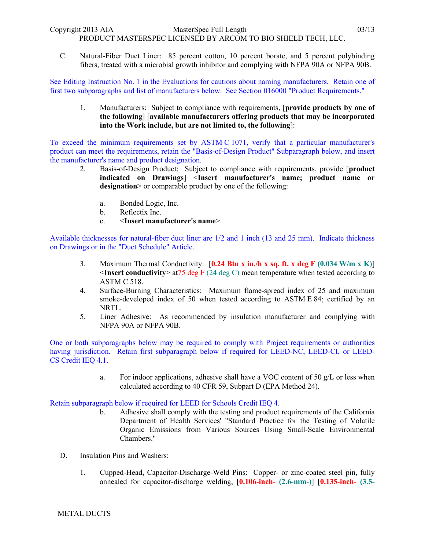PRODUCT MASTERSPEC LICENSED BY ARCOM TO BIO SHIELD TECH, LLC.

C. Natural-Fiber Duct Liner: 85 percent cotton, 10 percent borate, and 5 percent polybinding fibers, treated with a microbial growth inhibitor and complying with NFPA 90A or NFPA 90B.

See Editing Instruction No. 1 in the Evaluations for cautions about naming manufacturers. Retain one of first two subparagraphs and list of manufacturers below. See Section 016000 "Product Requirements."

1. Manufacturers: Subject to compliance with requirements, [**provide products by one of the following**] [**available manufacturers offering products that may be incorporated into the Work include, but are not limited to, the following**]:

To exceed the minimum requirements set by ASTM C 1071, verify that a particular manufacturer's product can meet the requirements, retain the "Basis-of-Design Product" Subparagraph below, and insert the manufacturer's name and product designation.

- 2. Basis-of-Design Product: Subject to compliance with requirements, provide [**product indicated on Drawings**] <**Insert manufacturer's name; product name or**  designation> or comparable product by one of the following:
	- a. Bonded Logic, Inc.
	- b. Reflectix Inc.
	- c. <**Insert manufacturer's name**>.

Available thicknesses for natural-fiber duct liner are 1/2 and 1 inch (13 and 25 mm). Indicate thickness on Drawings or in the "Duct Schedule" Article.

- 3. Maximum Thermal Conductivity: [**0.24 Btu x in./h x sq. ft. x deg F (0.034 W/m x K)**]  $\leq$ **Insert conductivity** $\geq$  at 75 deg F (24 deg C) mean temperature when tested according to ASTM C 518.
- 4. Surface-Burning Characteristics: Maximum flame-spread index of 25 and maximum smoke-developed index of 50 when tested according to ASTM E 84; certified by an NRTL.
- 5. Liner Adhesive: As recommended by insulation manufacturer and complying with NFPA 90A or NFPA 90B.

One or both subparagraphs below may be required to comply with Project requirements or authorities having jurisdiction. Retain first subparagraph below if required for LEED-NC, LEED-CI, or LEED-CS Credit IEQ 4.1.

> a. For indoor applications, adhesive shall have a VOC content of 50  $g/L$  or less when calculated according to 40 CFR 59, Subpart D (EPA Method 24).

Retain subparagraph below if required for LEED for Schools Credit IEQ 4.

- b. Adhesive shall comply with the testing and product requirements of the California Department of Health Services' "Standard Practice for the Testing of Volatile Organic Emissions from Various Sources Using Small-Scale Environmental Chambers."
- D. Insulation Pins and Washers:
	- 1. Cupped-Head, Capacitor-Discharge-Weld Pins: Copper- or zinc-coated steel pin, fully annealed for capacitor-discharge welding, [**0.106-inch- (2.6-mm-)**] [**0.135-inch- (3.5-**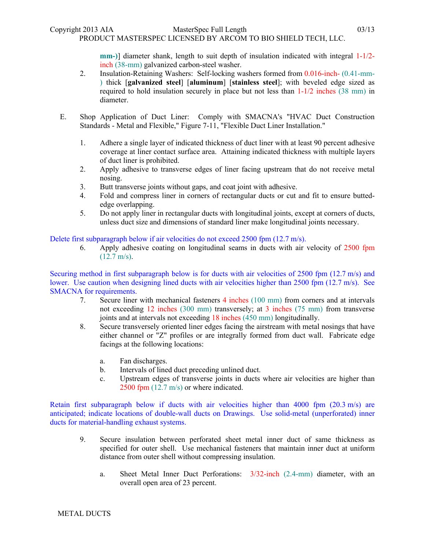**mm-)**] diameter shank, length to suit depth of insulation indicated with integral 1-1/2 inch (38-mm) galvanized carbon-steel washer.

- 2. Insulation-Retaining Washers: Self-locking washers formed from 0.016-inch- (0.41-mm- ) thick [**galvanized steel**] [**aluminum**] [**stainless steel**]; with beveled edge sized as required to hold insulation securely in place but not less than  $1-1/2$  inches (38 mm) in diameter.
- E. Shop Application of Duct Liner: Comply with SMACNA's "HVAC Duct Construction Standards - Metal and Flexible," Figure 7-11, "Flexible Duct Liner Installation."
	- 1. Adhere a single layer of indicated thickness of duct liner with at least 90 percent adhesive coverage at liner contact surface area. Attaining indicated thickness with multiple layers of duct liner is prohibited.
	- 2. Apply adhesive to transverse edges of liner facing upstream that do not receive metal nosing.
	- 3. Butt transverse joints without gaps, and coat joint with adhesive.
	- 4. Fold and compress liner in corners of rectangular ducts or cut and fit to ensure buttededge overlapping.
	- 5. Do not apply liner in rectangular ducts with longitudinal joints, except at corners of ducts, unless duct size and dimensions of standard liner make longitudinal joints necessary.

Delete first subparagraph below if air velocities do not exceed 2500 fpm (12.7 m/s).

6. Apply adhesive coating on longitudinal seams in ducts with air velocity of 2500 fpm  $(12.7 \text{ m/s})$ .

Securing method in first subparagraph below is for ducts with air velocities of  $2500$  fpm (12.7 m/s) and lower. Use caution when designing lined ducts with air velocities higher than 2500 fpm (12.7 m/s). See SMACNA for requirements.

- 7. Secure liner with mechanical fasteners 4 inches (100 mm) from corners and at intervals not exceeding 12 inches (300 mm) transversely; at 3 inches (75 mm) from transverse joints and at intervals not exceeding 18 inches (450 mm) longitudinally.
- 8. Secure transversely oriented liner edges facing the airstream with metal nosings that have either channel or "Z" profiles or are integrally formed from duct wall. Fabricate edge facings at the following locations:
	- a. Fan discharges.
	- b. Intervals of lined duct preceding unlined duct.
	- c. Upstream edges of transverse joints in ducts where air velocities are higher than 2500 fpm (12.7 m/s) or where indicated.

Retain first subparagraph below if ducts with air velocities higher than 4000 fpm  $(20.3 \text{ m/s})$  are anticipated; indicate locations of double-wall ducts on Drawings. Use solid-metal (unperforated) inner ducts for material-handling exhaust systems.

- 9. Secure insulation between perforated sheet metal inner duct of same thickness as specified for outer shell. Use mechanical fasteners that maintain inner duct at uniform distance from outer shell without compressing insulation.
	- a. Sheet Metal Inner Duct Perforations: 3/32-inch (2.4-mm) diameter, with an overall open area of 23 percent.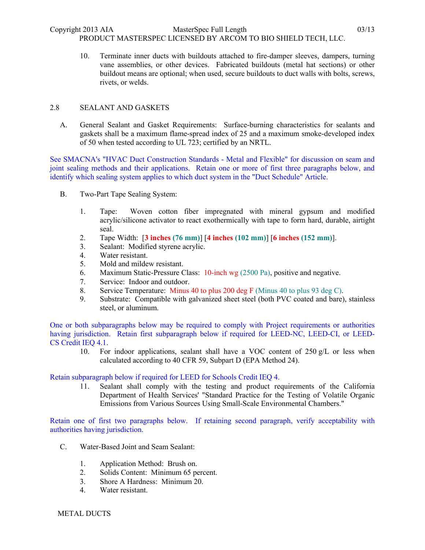10. Terminate inner ducts with buildouts attached to fire-damper sleeves, dampers, turning vane assemblies, or other devices. Fabricated buildouts (metal hat sections) or other buildout means are optional; when used, secure buildouts to duct walls with bolts, screws, rivets, or welds.

# 2.8 SEALANT AND GASKETS

A. General Sealant and Gasket Requirements: Surface-burning characteristics for sealants and gaskets shall be a maximum flame-spread index of 25 and a maximum smoke-developed index of 50 when tested according to UL 723; certified by an NRTL.

See SMACNA's "HVAC Duct Construction Standards - Metal and Flexible" for discussion on seam and joint sealing methods and their applications. Retain one or more of first three paragraphs below, and identify which sealing system applies to which duct system in the "Duct Schedule" Article.

- B. Two-Part Tape Sealing System:
	- 1. Tape: Woven cotton fiber impregnated with mineral gypsum and modified acrylic/silicone activator to react exothermically with tape to form hard, durable, airtight seal.
	- 2. Tape Width: [**3 inches (76 mm)**] [**4 inches (102 mm)**] [**6 inches (152 mm)**].
	- 3. Sealant: Modified styrene acrylic.
	- 4. Water resistant.
	- 5. Mold and mildew resistant.
	- 6. Maximum Static-Pressure Class: 10-inch wg (2500 Pa), positive and negative.
	- 7. Service: Indoor and outdoor.
	- 8. Service Temperature: Minus 40 to plus 200 deg F (Minus 40 to plus 93 deg C).
	- 9. Substrate: Compatible with galvanized sheet steel (both PVC coated and bare), stainless steel, or aluminum.

One or both subparagraphs below may be required to comply with Project requirements or authorities having jurisdiction. Retain first subparagraph below if required for LEED-NC, LEED-CI, or LEED-CS Credit IEQ 4.1.

10. For indoor applications, sealant shall have a VOC content of 250 g/L or less when calculated according to 40 CFR 59, Subpart D (EPA Method 24).

Retain subparagraph below if required for LEED for Schools Credit IEQ 4.

11. Sealant shall comply with the testing and product requirements of the California Department of Health Services' "Standard Practice for the Testing of Volatile Organic Emissions from Various Sources Using Small-Scale Environmental Chambers."

Retain one of first two paragraphs below. If retaining second paragraph, verify acceptability with authorities having jurisdiction.

- C. Water-Based Joint and Seam Sealant:
	- 1. Application Method: Brush on.
	- 2. Solids Content: Minimum 65 percent.
	- 3. Shore A Hardness: Minimum 20.
	- 4. Water resistant.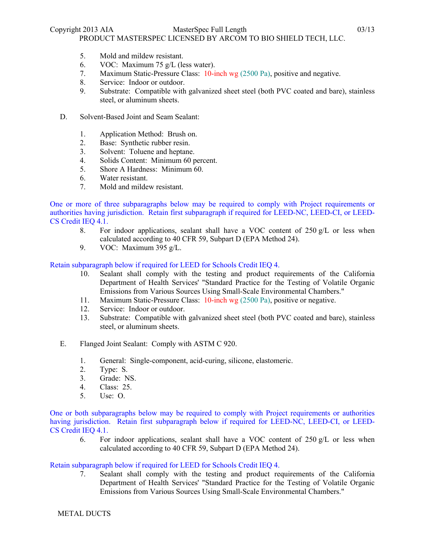- 5. Mold and mildew resistant.
- 6. VOC: Maximum 75 g/L (less water).
- 7. Maximum Static-Pressure Class: 10-inch wg (2500 Pa), positive and negative.
- 8. Service: Indoor or outdoor.
- 9. Substrate: Compatible with galvanized sheet steel (both PVC coated and bare), stainless steel, or aluminum sheets.
- D. Solvent-Based Joint and Seam Sealant:
	- 1. Application Method: Brush on.
	- 2. Base: Synthetic rubber resin.
	- 3. Solvent: Toluene and heptane.
	- 4. Solids Content: Minimum 60 percent.
	- 5. Shore A Hardness: Minimum 60.
	- 6. Water resistant.
	- 7. Mold and mildew resistant.

One or more of three subparagraphs below may be required to comply with Project requirements or authorities having jurisdiction. Retain first subparagraph if required for LEED-NC, LEED-CI, or LEED-CS Credit IEQ 4.1.

- 8. For indoor applications, sealant shall have a VOC content of  $250 g/L$  or less when calculated according to 40 CFR 59, Subpart D (EPA Method 24).
- 9. VOC: Maximum 395 g/L.

### Retain subparagraph below if required for LEED for Schools Credit IEQ 4.

- 10. Sealant shall comply with the testing and product requirements of the California Department of Health Services' "Standard Practice for the Testing of Volatile Organic Emissions from Various Sources Using Small-Scale Environmental Chambers."
- 11. Maximum Static-Pressure Class: 10-inch wg (2500 Pa), positive or negative.
- 12. Service: Indoor or outdoor.
- 13. Substrate: Compatible with galvanized sheet steel (both PVC coated and bare), stainless steel, or aluminum sheets.
- E. Flanged Joint Sealant: Comply with ASTM C 920.
	- 1. General: Single-component, acid-curing, silicone, elastomeric.
	- 2. Type: S.
	- 3. Grade: NS.
	- 4. Class: 25.
	- 5. Use: O.

One or both subparagraphs below may be required to comply with Project requirements or authorities having jurisdiction. Retain first subparagraph below if required for LEED-NC, LEED-CI, or LEED-CS Credit IEQ 4.1.

6. For indoor applications, sealant shall have a VOC content of 250 g/L or less when calculated according to 40 CFR 59, Subpart D (EPA Method 24).

#### Retain subparagraph below if required for LEED for Schools Credit IEQ 4.

7. Sealant shall comply with the testing and product requirements of the California Department of Health Services' "Standard Practice for the Testing of Volatile Organic Emissions from Various Sources Using Small-Scale Environmental Chambers."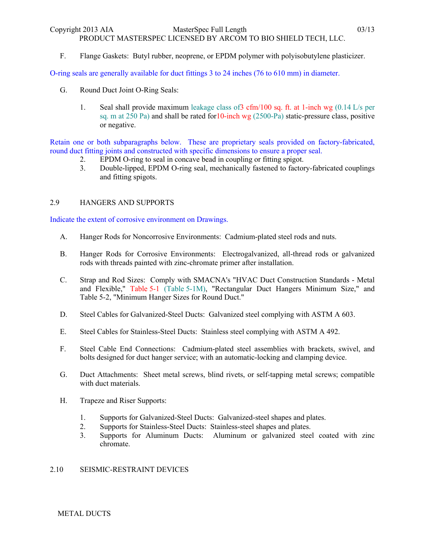PRODUCT MASTERSPEC LICENSED BY ARCOM TO BIO SHIELD TECH, LLC.

F. Flange Gaskets: Butyl rubber, neoprene, or EPDM polymer with polyisobutylene plasticizer.

O-ring seals are generally available for duct fittings 3 to 24 inches (76 to 610 mm) in diameter.

- G. Round Duct Joint O-Ring Seals:
	- 1. Seal shall provide maximum leakage class of  $3 \text{ cfm}/100 \text{ sq. ft. at 1-inch wg } (0.14 \text{ L/s per})$ sq. m at  $250$  Pa) and shall be rated for  $10$ -inch wg  $(2500-Pa)$  static-pressure class, positive or negative.

Retain one or both subparagraphs below. These are proprietary seals provided on factory-fabricated, round duct fitting joints and constructed with specific dimensions to ensure a proper seal.

- 2. EPDM O-ring to seal in concave bead in coupling or fitting spigot.
- 3. Double-lipped, EPDM O-ring seal, mechanically fastened to factory-fabricated couplings and fitting spigots.

# 2.9 HANGERS AND SUPPORTS

Indicate the extent of corrosive environment on Drawings.

- A. Hanger Rods for Noncorrosive Environments: Cadmium-plated steel rods and nuts.
- B. Hanger Rods for Corrosive Environments: Electrogalvanized, all-thread rods or galvanized rods with threads painted with zinc-chromate primer after installation.
- C. Strap and Rod Sizes: Comply with SMACNA's "HVAC Duct Construction Standards Metal and Flexible," Table 5-1 (Table 5-1M), "Rectangular Duct Hangers Minimum Size," and Table 5-2, "Minimum Hanger Sizes for Round Duct."
- D. Steel Cables for Galvanized-Steel Ducts: Galvanized steel complying with ASTM A 603.
- E. Steel Cables for Stainless-Steel Ducts: Stainless steel complying with ASTM A 492.
- F. Steel Cable End Connections: Cadmium-plated steel assemblies with brackets, swivel, and bolts designed for duct hanger service; with an automatic-locking and clamping device.
- G. Duct Attachments: Sheet metal screws, blind rivets, or self-tapping metal screws; compatible with duct materials.
- H. Trapeze and Riser Supports:
	- 1. Supports for Galvanized-Steel Ducts: Galvanized-steel shapes and plates.
	- 2. Supports for Stainless-Steel Ducts: Stainless-steel shapes and plates.
	- 3. Supports for Aluminum Ducts: Aluminum or galvanized steel coated with zinc chromate.

# 2.10 SEISMIC-RESTRAINT DEVICES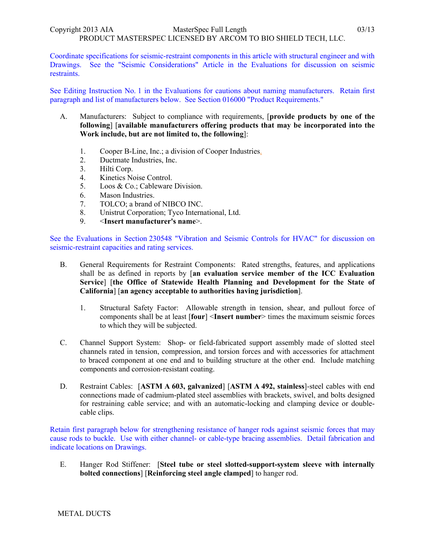Coordinate specifications for seismic-restraint components in this article with structural engineer and with Drawings. See the "Seismic Considerations" Article in the Evaluations for discussion on seismic restraints.

See Editing Instruction No. 1 in the Evaluations for cautions about naming manufacturers. Retain first paragraph and list of manufacturers below. See Section 016000 "Product Requirements."

- A. Manufacturers: Subject to compliance with requirements, [**provide products by one of the following**] [**available manufacturers offering products that may be incorporated into the Work include, but are not limited to, the following**]:
	- 1. Cooper B-Line, Inc.; a division of Cooper Industries.
	- 2. Ductmate Industries, Inc.
	- 3. Hilti Corp.
	- 4. Kinetics Noise Control.
	- 5. Loos & Co.; Cableware Division.
	- 6. Mason Industries.
	- 7. TOLCO; a brand of NIBCO INC.
	- 8. Unistrut Corporation; Tyco International, Ltd.
	- 9. <**Insert manufacturer's name**>.

See the Evaluations in Section 230548 "Vibration and Seismic Controls for HVAC" for discussion on seismic-restraint capacities and rating services.

- B. General Requirements for Restraint Components: Rated strengths, features, and applications shall be as defined in reports by [**an evaluation service member of the ICC Evaluation Service**] [**the Office of Statewide Health Planning and Development for the State of California**] [**an agency acceptable to authorities having jurisdiction**].
	- 1. Structural Safety Factor: Allowable strength in tension, shear, and pullout force of components shall be at least [**four**] <**Insert number**> times the maximum seismic forces to which they will be subjected.
- C. Channel Support System: Shop- or field-fabricated support assembly made of slotted steel channels rated in tension, compression, and torsion forces and with accessories for attachment to braced component at one end and to building structure at the other end. Include matching components and corrosion-resistant coating.
- D. Restraint Cables: [**ASTM A 603, galvanized**] [**ASTM A 492, stainless**]-steel cables with end connections made of cadmium-plated steel assemblies with brackets, swivel, and bolts designed for restraining cable service; and with an automatic-locking and clamping device or doublecable clips.

Retain first paragraph below for strengthening resistance of hanger rods against seismic forces that may cause rods to buckle. Use with either channel- or cable-type bracing assemblies. Detail fabrication and indicate locations on Drawings.

E. Hanger Rod Stiffener: [**Steel tube or steel slotted-support-system sleeve with internally bolted connections**] [**Reinforcing steel angle clamped**] to hanger rod.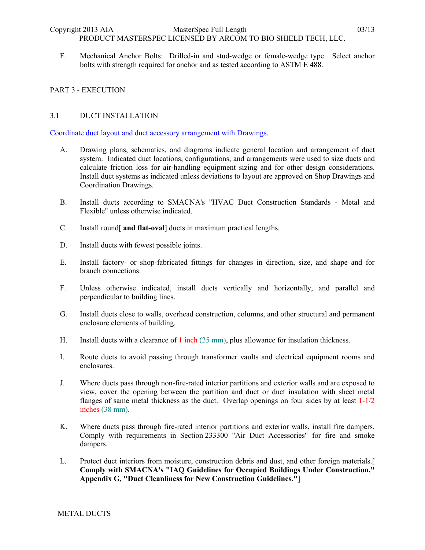F. Mechanical Anchor Bolts: Drilled-in and stud-wedge or female-wedge type. Select anchor bolts with strength required for anchor and as tested according to ASTM E 488.

### PART 3 - EXECUTION

### 3.1 DUCT INSTALLATION

Coordinate duct layout and duct accessory arrangement with Drawings.

- A. Drawing plans, schematics, and diagrams indicate general location and arrangement of duct system. Indicated duct locations, configurations, and arrangements were used to size ducts and calculate friction loss for air-handling equipment sizing and for other design considerations. Install duct systems as indicated unless deviations to layout are approved on Shop Drawings and Coordination Drawings.
- B. Install ducts according to SMACNA's "HVAC Duct Construction Standards Metal and Flexible" unless otherwise indicated.
- C. Install round[ **and flat-oval**] ducts in maximum practical lengths.
- D. Install ducts with fewest possible joints.
- E. Install factory- or shop-fabricated fittings for changes in direction, size, and shape and for branch connections.
- F. Unless otherwise indicated, install ducts vertically and horizontally, and parallel and perpendicular to building lines.
- G. Install ducts close to walls, overhead construction, columns, and other structural and permanent enclosure elements of building.
- H. Install ducts with a clearance of 1 inch (25 mm), plus allowance for insulation thickness.
- I. Route ducts to avoid passing through transformer vaults and electrical equipment rooms and enclosures.
- J. Where ducts pass through non-fire-rated interior partitions and exterior walls and are exposed to view, cover the opening between the partition and duct or duct insulation with sheet metal flanges of same metal thickness as the duct. Overlap openings on four sides by at least 1-1/2 inches (38 mm).
- K. Where ducts pass through fire-rated interior partitions and exterior walls, install fire dampers. Comply with requirements in Section 233300 "Air Duct Accessories" for fire and smoke dampers.
- L. Protect duct interiors from moisture, construction debris and dust, and other foreign materials.[ **Comply with SMACNA's "IAQ Guidelines for Occupied Buildings Under Construction," Appendix G, "Duct Cleanliness for New Construction Guidelines."**]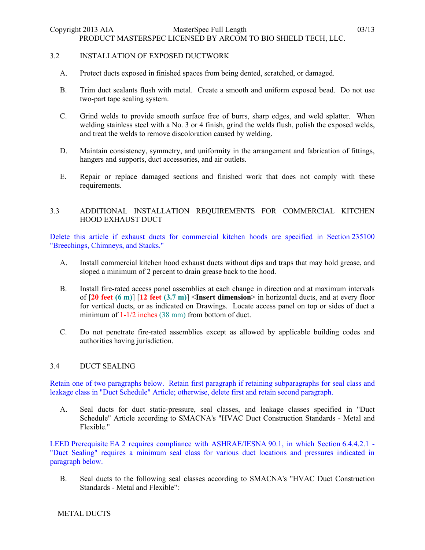### 3.2 INSTALLATION OF EXPOSED DUCTWORK

- A. Protect ducts exposed in finished spaces from being dented, scratched, or damaged.
- B. Trim duct sealants flush with metal. Create a smooth and uniform exposed bead. Do not use two-part tape sealing system.
- C. Grind welds to provide smooth surface free of burrs, sharp edges, and weld splatter. When welding stainless steel with a No. 3 or 4 finish, grind the welds flush, polish the exposed welds, and treat the welds to remove discoloration caused by welding.
- D. Maintain consistency, symmetry, and uniformity in the arrangement and fabrication of fittings, hangers and supports, duct accessories, and air outlets.
- E. Repair or replace damaged sections and finished work that does not comply with these requirements.

# 3.3 ADDITIONAL INSTALLATION REQUIREMENTS FOR COMMERCIAL KITCHEN HOOD EXHAUST DUCT

Delete this article if exhaust ducts for commercial kitchen hoods are specified in Section 235100 "Breechings, Chimneys, and Stacks."

- A. Install commercial kitchen hood exhaust ducts without dips and traps that may hold grease, and sloped a minimum of 2 percent to drain grease back to the hood.
- B. Install fire-rated access panel assemblies at each change in direction and at maximum intervals of [**20 feet (6 m)**] [**12 feet (3.7 m)**] <**Insert dimension**> in horizontal ducts, and at every floor for vertical ducts, or as indicated on Drawings. Locate access panel on top or sides of duct a minimum of  $1-1/2$  inches (38 mm) from bottom of duct.
- C. Do not penetrate fire-rated assemblies except as allowed by applicable building codes and authorities having jurisdiction.

### 3.4 DUCT SEALING

Retain one of two paragraphs below. Retain first paragraph if retaining subparagraphs for seal class and leakage class in "Duct Schedule" Article; otherwise, delete first and retain second paragraph.

A. Seal ducts for duct static-pressure, seal classes, and leakage classes specified in "Duct Schedule" Article according to SMACNA's "HVAC Duct Construction Standards - Metal and Flexible."

LEED Prerequisite EA 2 requires compliance with ASHRAE/IESNA 90.1, in which Section 6.4.4.2.1 - "Duct Sealing" requires a minimum seal class for various duct locations and pressures indicated in paragraph below.

B. Seal ducts to the following seal classes according to SMACNA's "HVAC Duct Construction Standards - Metal and Flexible":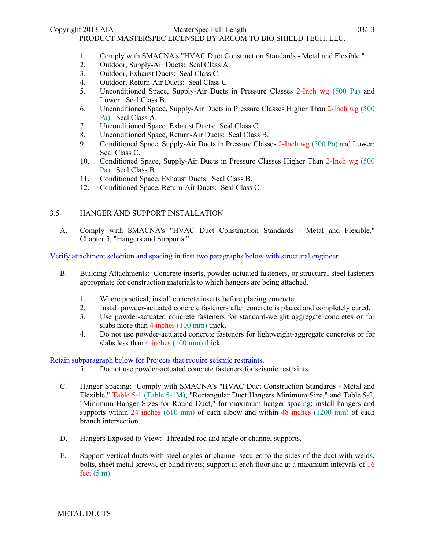- 1. Comply with SMACNA's "HVAC Duct Construction Standards Metal and Flexible."
- 2. Outdoor, Supply-Air Ducts: Seal Class A.
- 3. Outdoor, Exhaust Ducts: Seal Class C.
- 4. Outdoor, Return-Air Ducts: Seal Class C.
- 5. Unconditioned Space, Supply-Air Ducts in Pressure Classes 2-Inch wg (500 Pa) and Lower: Seal Class B.
- 6. Unconditioned Space, Supply-Air Ducts in Pressure Classes Higher Than 2-Inch wg (500 Pa): Seal Class A.
- 7. Unconditioned Space, Exhaust Ducts: Seal Class C.
- 8. Unconditioned Space, Return-Air Ducts: Seal Class B.
- 9. Conditioned Space, Supply-Air Ducts in Pressure Classes 2-Inch wg (500 Pa) and Lower: Seal Class C.
- 10. Conditioned Space, Supply-Air Ducts in Pressure Classes Higher Than 2-Inch wg (500 Pa): Seal Class B.
- 11. Conditioned Space, Exhaust Ducts: Seal Class B.
- 12. Conditioned Space, Return-Air Ducts: Seal Class C.

# 3.5 HANGER AND SUPPORT INSTALLATION

A. Comply with SMACNA's "HVAC Duct Construction Standards - Metal and Flexible," Chapter 5, "Hangers and Supports."

Verify attachment selection and spacing in first two paragraphs below with structural engineer.

- B. Building Attachments: Concrete inserts, powder-actuated fasteners, or structural-steel fasteners appropriate for construction materials to which hangers are being attached.
	- 1. Where practical, install concrete inserts before placing concrete.
	- 2. Install powder-actuated concrete fasteners after concrete is placed and completely cured.
	- 3. Use powder-actuated concrete fasteners for standard-weight aggregate concretes or for slabs more than 4 inches (100 mm) thick.
	- 4. Do not use powder-actuated concrete fasteners for lightweight-aggregate concretes or for slabs less than 4 inches (100 mm) thick.

### Retain subparagraph below for Projects that require seismic restraints.

- 5. Do not use powder-actuated concrete fasteners for seismic restraints.
- C. Hanger Spacing: Comply with SMACNA's "HVAC Duct Construction Standards Metal and Flexible," Table 5-1 (Table 5-1M), "Rectangular Duct Hangers Minimum Size," and Table 5-2, "Minimum Hanger Sizes for Round Duct," for maximum hanger spacing; install hangers and supports within 24 inches (610 mm) of each elbow and within 48 inches (1200 mm) of each branch intersection.
- D. Hangers Exposed to View: Threaded rod and angle or channel supports.
- E. Support vertical ducts with steel angles or channel secured to the sides of the duct with welds, bolts, sheet metal screws, or blind rivets; support at each floor and at a maximum intervals of 16 feet  $(5 \text{ m})$ .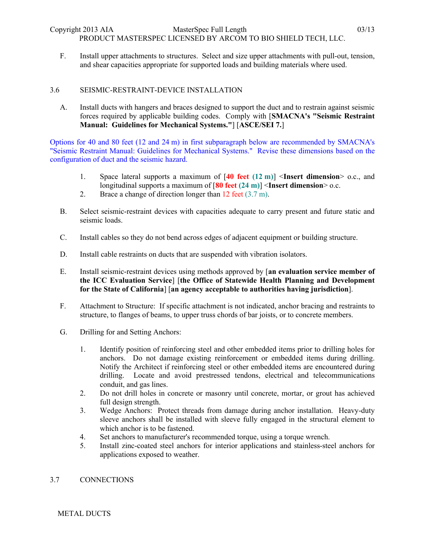F. Install upper attachments to structures. Select and size upper attachments with pull-out, tension, and shear capacities appropriate for supported loads and building materials where used.

### 3.6 SEISMIC-RESTRAINT-DEVICE INSTALLATION

A. Install ducts with hangers and braces designed to support the duct and to restrain against seismic forces required by applicable building codes. Comply with [**SMACNA's "Seismic Restraint Manual: Guidelines for Mechanical Systems."**] [**ASCE/SEI 7.**]

Options for 40 and 80 feet (12 and 24 m) in first subparagraph below are recommended by SMACNA's "Seismic Restraint Manual: Guidelines for Mechanical Systems." Revise these dimensions based on the configuration of duct and the seismic hazard.

- 1. Space lateral supports a maximum of [**40 feet (12 m)**] <**Insert dimension**> o.c., and longitudinal supports a maximum of [**80 feet (24 m)**] <**Insert dimension**> o.c.
- 2. Brace a change of direction longer than 12 feet (3.7 m).
- B. Select seismic-restraint devices with capacities adequate to carry present and future static and seismic loads.
- C. Install cables so they do not bend across edges of adjacent equipment or building structure.
- D. Install cable restraints on ducts that are suspended with vibration isolators.
- E. Install seismic-restraint devices using methods approved by [**an evaluation service member of the ICC Evaluation Service**] [**the Office of Statewide Health Planning and Development for the State of California**] [**an agency acceptable to authorities having jurisdiction**].
- F. Attachment to Structure: If specific attachment is not indicated, anchor bracing and restraints to structure, to flanges of beams, to upper truss chords of bar joists, or to concrete members.
- G. Drilling for and Setting Anchors:
	- 1. Identify position of reinforcing steel and other embedded items prior to drilling holes for anchors. Do not damage existing reinforcement or embedded items during drilling. Notify the Architect if reinforcing steel or other embedded items are encountered during drilling. Locate and avoid prestressed tendons, electrical and telecommunications conduit, and gas lines.
	- 2. Do not drill holes in concrete or masonry until concrete, mortar, or grout has achieved full design strength.
	- 3. Wedge Anchors: Protect threads from damage during anchor installation. Heavy-duty sleeve anchors shall be installed with sleeve fully engaged in the structural element to which anchor is to be fastened.
	- 4. Set anchors to manufacturer's recommended torque, using a torque wrench.
	- 5. Install zinc-coated steel anchors for interior applications and stainless-steel anchors for applications exposed to weather.

### 3.7 CONNECTIONS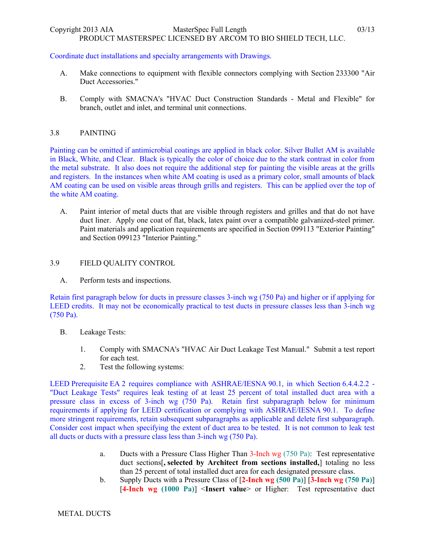# PRODUCT MASTERSPEC LICENSED BY ARCOM TO BIO SHIELD TECH, LLC.

# Coordinate duct installations and specialty arrangements with Drawings.

- A. Make connections to equipment with flexible connectors complying with Section 233300 "Air Duct Accessories."
- B. Comply with SMACNA's "HVAC Duct Construction Standards Metal and Flexible" for branch, outlet and inlet, and terminal unit connections.

### 3.8 PAINTING

Painting can be omitted if antimicrobial coatings are applied in black color. Silver Bullet AM is available in Black, White, and Clear. Black is typically the color of choice due to the stark contrast in color from the metal substrate. It also does not require the additional step for painting the visible areas at the grills and registers. In the instances when white AM coating is used as a primary color, small amounts of black AM coating can be used on visible areas through grills and registers. This can be applied over the top of the white AM coating.

A. Paint interior of metal ducts that are visible through registers and grilles and that do not have duct liner. Apply one coat of flat, black, latex paint over a compatible galvanized-steel primer. Paint materials and application requirements are specified in Section 099113 "Exterior Painting" and Section 099123 "Interior Painting."

# 3.9 FIELD QUALITY CONTROL

A. Perform tests and inspections.

Retain first paragraph below for ducts in pressure classes 3-inch wg (750 Pa) and higher or if applying for LEED credits. It may not be economically practical to test ducts in pressure classes less than 3-inch wg (750 Pa).

- B. Leakage Tests:
	- 1. Comply with SMACNA's "HVAC Air Duct Leakage Test Manual." Submit a test report for each test.
	- 2. Test the following systems:

LEED Prerequisite EA 2 requires compliance with ASHRAE/IESNA 90.1, in which Section 6.4.4.2.2 - "Duct Leakage Tests" requires leak testing of at least 25 percent of total installed duct area with a pressure class in excess of 3-inch wg (750 Pa). Retain first subparagraph below for minimum requirements if applying for LEED certification or complying with ASHRAE/IESNA 90.1. To define more stringent requirements, retain subsequent subparagraphs as applicable and delete first subparagraph. Consider cost impact when specifying the extent of duct area to be tested. It is not common to leak test all ducts or ducts with a pressure class less than 3-inch wg (750 Pa).

- a. Ducts with a Pressure Class Higher Than 3-Inch wg (750 Pa): Test representative duct sections[**, selected by Architect from sections installed,**] totaling no less than 25 percent of total installed duct area for each designated pressure class.
- b. Supply Ducts with a Pressure Class of [**2-Inch wg (500 Pa)**] [**3-Inch wg (750 Pa)**] [**4-Inch wg (1000 Pa)**] <**Insert value**> or Higher: Test representative duct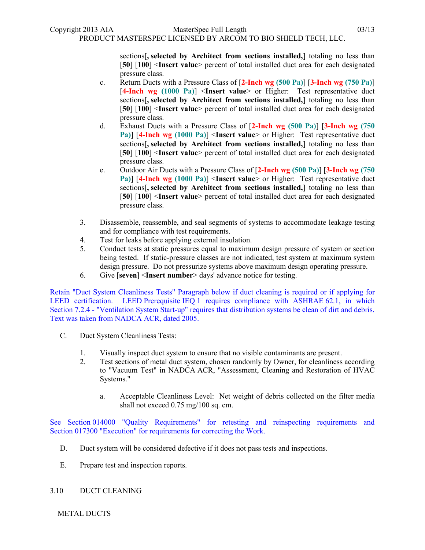sections[**, selected by Architect from sections installed,**] totaling no less than [**50**] [**100**] <**Insert value**> percent of total installed duct area for each designated pressure class.

- c. Return Ducts with a Pressure Class of [**2-Inch wg (500 Pa)**] [**3-Inch wg (750 Pa)**] [**4-Inch wg (1000 Pa)**] <**Insert value**> or Higher: Test representative duct sections[**, selected by Architect from sections installed,**] totaling no less than [**50**] [**100**] <**Insert value**> percent of total installed duct area for each designated pressure class.
- d. Exhaust Ducts with a Pressure Class of [**2-Inch wg (500 Pa)**] [**3-Inch wg (750 Pa)**] [**4-Inch wg (1000 Pa)**] <**Insert value**> or Higher: Test representative duct sections[**, selected by Architect from sections installed,**] totaling no less than [**50**] [**100**] <**Insert value**> percent of total installed duct area for each designated pressure class.
- e. Outdoor Air Ducts with a Pressure Class of [**2-Inch wg (500 Pa)**] [**3-Inch wg (750 Pa)**] [**4-Inch wg (1000 Pa)**] <**Insert value**> or Higher: Test representative duct sections[**, selected by Architect from sections installed,**] totaling no less than [**50**] [**100**] <**Insert value**> percent of total installed duct area for each designated pressure class.
- 3. Disassemble, reassemble, and seal segments of systems to accommodate leakage testing and for compliance with test requirements.
- 4. Test for leaks before applying external insulation.
- 5. Conduct tests at static pressures equal to maximum design pressure of system or section being tested. If static-pressure classes are not indicated, test system at maximum system design pressure. Do not pressurize systems above maximum design operating pressure.
- 6. Give [**seven**] <**Insert number**> days' advance notice for testing.

Retain "Duct System Cleanliness Tests" Paragraph below if duct cleaning is required or if applying for LEED certification. LEED Prerequisite IEQ 1 requires compliance with ASHRAE 62.1, in which Section 7.2.4 - "Ventilation System Start-up" requires that distribution systems be clean of dirt and debris. Text was taken from NADCA ACR, dated 2005.

- C. Duct System Cleanliness Tests:
	- 1. Visually inspect duct system to ensure that no visible contaminants are present.
	- 2. Test sections of metal duct system, chosen randomly by Owner, for cleanliness according to "Vacuum Test" in NADCA ACR, "Assessment, Cleaning and Restoration of HVAC Systems."
		- a. Acceptable Cleanliness Level: Net weight of debris collected on the filter media shall not exceed 0.75 mg/100 sq. cm.

See Section 014000 "Quality Requirements" for retesting and reinspecting requirements and Section 017300 "Execution" for requirements for correcting the Work.

- D. Duct system will be considered defective if it does not pass tests and inspections.
- E. Prepare test and inspection reports.
- 3.10 DUCT CLEANING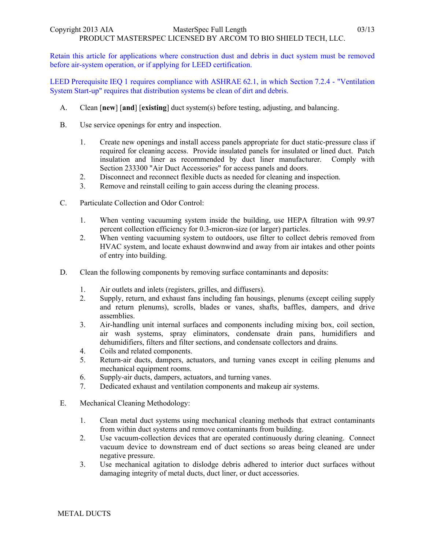Retain this article for applications where construction dust and debris in duct system must be removed before air-system operation, or if applying for LEED certification.

LEED Prerequisite IEQ 1 requires compliance with ASHRAE 62.1, in which Section 7.2.4 - "Ventilation System Start-up" requires that distribution systems be clean of dirt and debris.

- A. Clean [**new**] [**and**] [**existing**] duct system(s) before testing, adjusting, and balancing.
- B. Use service openings for entry and inspection.
	- 1. Create new openings and install access panels appropriate for duct static-pressure class if required for cleaning access. Provide insulated panels for insulated or lined duct. Patch insulation and liner as recommended by duct liner manufacturer. Comply with Section 233300 "Air Duct Accessories" for access panels and doors.
	- 2. Disconnect and reconnect flexible ducts as needed for cleaning and inspection.
	- 3. Remove and reinstall ceiling to gain access during the cleaning process.
- C. Particulate Collection and Odor Control:
	- 1. When venting vacuuming system inside the building, use HEPA filtration with 99.97 percent collection efficiency for 0.3-micron-size (or larger) particles.
	- 2. When venting vacuuming system to outdoors, use filter to collect debris removed from HVAC system, and locate exhaust downwind and away from air intakes and other points of entry into building.
- D. Clean the following components by removing surface contaminants and deposits:
	- 1. Air outlets and inlets (registers, grilles, and diffusers).
	- 2. Supply, return, and exhaust fans including fan housings, plenums (except ceiling supply and return plenums), scrolls, blades or vanes, shafts, baffles, dampers, and drive assemblies.
	- 3. Air-handling unit internal surfaces and components including mixing box, coil section, air wash systems, spray eliminators, condensate drain pans, humidifiers and dehumidifiers, filters and filter sections, and condensate collectors and drains.
	- 4. Coils and related components.
	- 5. Return-air ducts, dampers, actuators, and turning vanes except in ceiling plenums and mechanical equipment rooms.
	- 6. Supply-air ducts, dampers, actuators, and turning vanes.
	- 7. Dedicated exhaust and ventilation components and makeup air systems.
- E. Mechanical Cleaning Methodology:
	- 1. Clean metal duct systems using mechanical cleaning methods that extract contaminants from within duct systems and remove contaminants from building.
	- 2. Use vacuum-collection devices that are operated continuously during cleaning. Connect vacuum device to downstream end of duct sections so areas being cleaned are under negative pressure.
	- 3. Use mechanical agitation to dislodge debris adhered to interior duct surfaces without damaging integrity of metal ducts, duct liner, or duct accessories.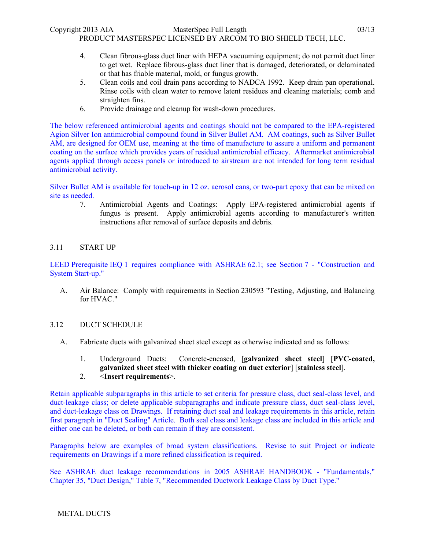- 4. Clean fibrous-glass duct liner with HEPA vacuuming equipment; do not permit duct liner to get wet. Replace fibrous-glass duct liner that is damaged, deteriorated, or delaminated or that has friable material, mold, or fungus growth.
- 5. Clean coils and coil drain pans according to NADCA 1992. Keep drain pan operational. Rinse coils with clean water to remove latent residues and cleaning materials; comb and straighten fins.
- 6. Provide drainage and cleanup for wash-down procedures.

The below referenced antimicrobial agents and coatings should not be compared to the EPA-registered Agion Silver Ion antimicrobial compound found in Silver Bullet AM. AM coatings, such as Silver Bullet AM, are designed for OEM use, meaning at the time of manufacture to assure a uniform and permanent coating on the surface which provides years of residual antimicrobial efficacy. Aftermarket antimicrobial agents applied through access panels or introduced to airstream are not intended for long term residual antimicrobial activity.

Silver Bullet AM is available for touch-up in 12 oz. aerosol cans, or two-part epoxy that can be mixed on site as needed.

7. Antimicrobial Agents and Coatings: Apply EPA-registered antimicrobial agents if fungus is present. Apply antimicrobial agents according to manufacturer's written instructions after removal of surface deposits and debris.

# 3.11 START UP

LEED Prerequisite IEQ 1 requires compliance with ASHRAE 62.1; see Section 7 - "Construction and System Start-up."

A. Air Balance: Comply with requirements in Section 230593 "Testing, Adjusting, and Balancing for HVAC."

# 3.12 DUCT SCHEDULE

- A. Fabricate ducts with galvanized sheet steel except as otherwise indicated and as follows:
	- 1. Underground Ducts: Concrete-encased, [**galvanized sheet steel**] [**PVC-coated, galvanized sheet steel with thicker coating on duct exterior**] [**stainless steel**].

## 2. <**Insert requirements**>.

Retain applicable subparagraphs in this article to set criteria for pressure class, duct seal-class level, and duct-leakage class; or delete applicable subparagraphs and indicate pressure class, duct seal-class level, and duct-leakage class on Drawings. If retaining duct seal and leakage requirements in this article, retain first paragraph in "Duct Sealing" Article. Both seal class and leakage class are included in this article and either one can be deleted, or both can remain if they are consistent.

Paragraphs below are examples of broad system classifications. Revise to suit Project or indicate requirements on Drawings if a more refined classification is required.

See ASHRAE duct leakage recommendations in 2005 ASHRAE HANDBOOK - "Fundamentals," Chapter 35, "Duct Design," Table 7, "Recommended Ductwork Leakage Class by Duct Type."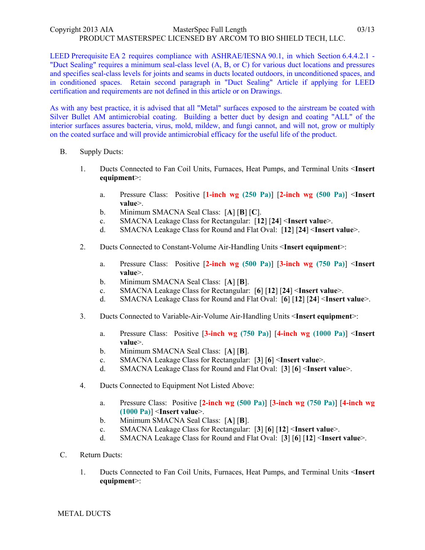LEED Prerequisite EA 2 requires compliance with ASHRAE/IESNA 90.1, in which Section 6.4.4.2.1 - "Duct Sealing" requires a minimum seal-class level (A, B, or C) for various duct locations and pressures and specifies seal-class levels for joints and seams in ducts located outdoors, in unconditioned spaces, and in conditioned spaces. Retain second paragraph in "Duct Sealing" Article if applying for LEED certification and requirements are not defined in this article or on Drawings.

As with any best practice, it is advised that all "Metal" surfaces exposed to the airstream be coated with Silver Bullet AM antimicrobial coating. Building a better duct by design and coating "ALL" of the interior surfaces assures bacteria, virus, mold, mildew, and fungi cannot, and will not, grow or multiply on the coated surface and will provide antimicrobial efficacy for the useful life of the product.

- B. Supply Ducts:
	- 1. Ducts Connected to Fan Coil Units, Furnaces, Heat Pumps, and Terminal Units <**Insert equipment**>:
		- a. Pressure Class: Positive [**1-inch wg (250 Pa)**] [**2-inch wg (500 Pa)**] <**Insert value**>.
		- b. Minimum SMACNA Seal Class: [**A**] [**B**] [**C**].
		- c. SMACNA Leakage Class for Rectangular: [**12**] [**24**] <**Insert value**>.
		- d. SMACNA Leakage Class for Round and Flat Oval: [**12**] [**24**] <**Insert value**>.
	- 2. Ducts Connected to Constant-Volume Air-Handling Units <**Insert equipment**>:
		- a. Pressure Class: Positive [**2-inch wg (500 Pa)**] [**3-inch wg (750 Pa)**] <**Insert value**>.
		- b. Minimum SMACNA Seal Class: [**A**] [**B**].
		- c. SMACNA Leakage Class for Rectangular: [**6**] [**12**] [**24**] <**Insert value**>.
		- d. SMACNA Leakage Class for Round and Flat Oval: [**6**] [**12**] [**24**] <**Insert value**>.
	- 3. Ducts Connected to Variable-Air-Volume Air-Handling Units <**Insert equipment**>:
		- a. Pressure Class: Positive [**3-inch wg (750 Pa)**] [**4-inch wg (1000 Pa)**] <**Insert value**>.
		- b. Minimum SMACNA Seal Class: [**A**] [**B**].
		- c. SMACNA Leakage Class for Rectangular: [**3**] [**6**] <**Insert value**>.
		- d. SMACNA Leakage Class for Round and Flat Oval: [**3**] [**6**] <**Insert value**>.
	- 4. Ducts Connected to Equipment Not Listed Above:
		- a. Pressure Class: Positive [**2-inch wg (500 Pa)**] [**3-inch wg (750 Pa)**] [**4-inch wg (1000 Pa)**] <**Insert value**>.
		- b. Minimum SMACNA Seal Class: [**A**] [**B**].
		- c. SMACNA Leakage Class for Rectangular: [**3**] [**6**] [**12**] <**Insert value**>.
		- d. SMACNA Leakage Class for Round and Flat Oval: [**3**] [**6**] [**12**] <**Insert value**>.
- C. Return Ducts:
	- 1. Ducts Connected to Fan Coil Units, Furnaces, Heat Pumps, and Terminal Units <**Insert equipment**>: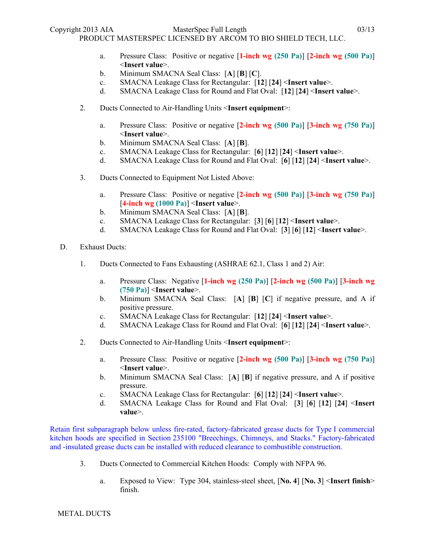- a. Pressure Class: Positive or negative [**1-inch wg (250 Pa)**] [**2-inch wg (500 Pa)**] <**Insert value**>.
- b. Minimum SMACNA Seal Class: [**A**] [**B**] [**C**].
- c. SMACNA Leakage Class for Rectangular: [**12**] [**24**] <**Insert value**>.
- d. SMACNA Leakage Class for Round and Flat Oval: [**12**] [**24**] <**Insert value**>.
- 2. Ducts Connected to Air-Handling Units <**Insert equipment**>:
	- a. Pressure Class: Positive or negative [**2-inch wg (500 Pa)**] [**3-inch wg (750 Pa)**] <**Insert value**>.
	- b. Minimum SMACNA Seal Class: [**A**] [**B**].
	- c. SMACNA Leakage Class for Rectangular: [**6**] [**12**] [**24**] <**Insert value**>.
	- d. SMACNA Leakage Class for Round and Flat Oval: [**6**] [**12**] [**24**] <**Insert value**>.
- 3. Ducts Connected to Equipment Not Listed Above:
	- a. Pressure Class: Positive or negative [**2-inch wg (500 Pa)**] [**3-inch wg (750 Pa)**] [**4-inch wg (1000 Pa)**] <**Insert value**>.
	- b. Minimum SMACNA Seal Class: [**A**] [**B**].
	- c. SMACNA Leakage Class for Rectangular: [**3**] [**6**] [**12**] <**Insert value**>.
	- d. SMACNA Leakage Class for Round and Flat Oval: [**3**] [**6**] [**12**] <**Insert value**>.
- D. Exhaust Ducts:
	- 1. Ducts Connected to Fans Exhausting (ASHRAE 62.1, Class 1 and 2) Air:
		- a. Pressure Class: Negative [**1-inch wg (250 Pa)**] [**2-inch wg (500 Pa)**] [**3-inch wg (750 Pa)**] <**Insert value**>.
		- b. Minimum SMACNA Seal Class: [**A**] [**B**] [**C**] if negative pressure, and A if positive pressure.
		- c. SMACNA Leakage Class for Rectangular: [**12**] [**24**] <**Insert value**>.
		- d. SMACNA Leakage Class for Round and Flat Oval: [**6**] [**12**] [**24**] <**Insert value**>.
	- 2. Ducts Connected to Air-Handling Units <**Insert equipment**>:
		- a. Pressure Class: Positive or negative [**2-inch wg (500 Pa)**] [**3-inch wg (750 Pa)**] <**Insert value**>.
		- b. Minimum SMACNA Seal Class: [**A**] [**B**] if negative pressure, and A if positive pressure.
		- c. SMACNA Leakage Class for Rectangular: [**6**] [**12**] [**24**] <**Insert value**>.
		- d. SMACNA Leakage Class for Round and Flat Oval: [**3**] [**6**] [**12**] [**24**] <**Insert value**>.

Retain first subparagraph below unless fire-rated, factory-fabricated grease ducts for Type I commercial kitchen hoods are specified in Section 235100 "Breechings, Chimneys, and Stacks." Factory-fabricated and -insulated grease ducts can be installed with reduced clearance to combustible construction.

- 3. Ducts Connected to Commercial Kitchen Hoods: Comply with NFPA 96.
	- a. Exposed to View: Type 304, stainless-steel sheet, [**No. 4**] [**No. 3**] <**Insert finish**> finish.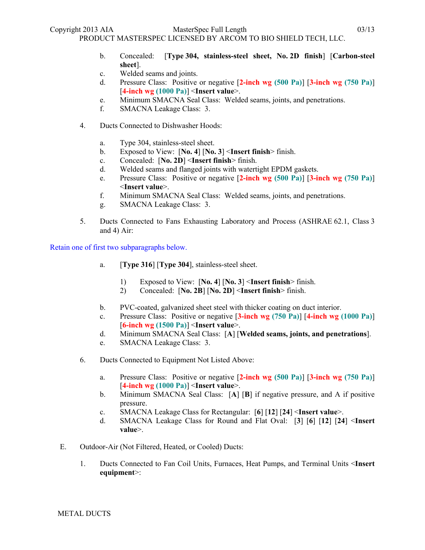Copyright 2013 AIA MasterSpec Full Length 03/13

PRODUCT MASTERSPEC LICENSED BY ARCOM TO BIO SHIELD TECH, LLC.

- b. Concealed: [**Type 304, stainless-steel sheet, No. 2D finish**] [**Carbon-steel sheet**].
- c. Welded seams and joints.
- d. Pressure Class: Positive or negative [**2-inch wg (500 Pa)**] [**3-inch wg (750 Pa)**] [**4-inch wg (1000 Pa)**] <**Insert value**>.
- e. Minimum SMACNA Seal Class: Welded seams, joints, and penetrations.
- f. SMACNA Leakage Class: 3.
- 4. Ducts Connected to Dishwasher Hoods:
	- a. Type 304, stainless-steel sheet.
	- b. Exposed to View: [**No. 4**] [**No. 3**] <**Insert finish**> finish.
	- c. Concealed: [**No. 2D**] <**Insert finish**> finish.
	- d. Welded seams and flanged joints with watertight EPDM gaskets.
	- e. Pressure Class: Positive or negative [**2-inch wg (500 Pa)**] [**3-inch wg (750 Pa)**] <**Insert value**>.
	- f. Minimum SMACNA Seal Class: Welded seams, joints, and penetrations.
	- g. SMACNA Leakage Class: 3.
- 5. Ducts Connected to Fans Exhausting Laboratory and Process (ASHRAE 62.1, Class 3 and 4) Air:

Retain one of first two subparagraphs below.

- a. [**Type 316**] [**Type 304**], stainless-steel sheet.
	- 1) Exposed to View: [**No. 4**] [**No. 3**] <**Insert finish**> finish.
	- 2) Concealed: [**No. 2B**] [**No. 2D**] <**Insert finish**> finish.
- b. PVC-coated, galvanized sheet steel with thicker coating on duct interior.
- c. Pressure Class: Positive or negative [**3-inch wg (750 Pa)**] [**4-inch wg (1000 Pa)**] [**6-inch wg (1500 Pa)**] <**Insert value**>.
- d. Minimum SMACNA Seal Class: [**A**] [**Welded seams, joints, and penetrations**].
- e. SMACNA Leakage Class: 3.
- 6. Ducts Connected to Equipment Not Listed Above:
	- a. Pressure Class: Positive or negative [**2-inch wg (500 Pa)**] [**3-inch wg (750 Pa)**] [**4-inch wg (1000 Pa)**] <**Insert value**>.
	- b. Minimum SMACNA Seal Class: [**A**] [**B**] if negative pressure, and A if positive pressure.
	- c. SMACNA Leakage Class for Rectangular: [**6**] [**12**] [**24**] <**Insert value**>.
	- d. SMACNA Leakage Class for Round and Flat Oval: [**3**] [**6**] [**12**] [**24**] <**Insert value**>.
- E. Outdoor-Air (Not Filtered, Heated, or Cooled) Ducts:
	- 1. Ducts Connected to Fan Coil Units, Furnaces, Heat Pumps, and Terminal Units <**Insert equipment**>: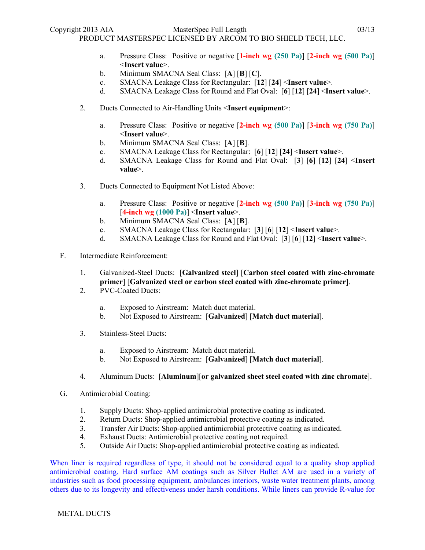- a. Pressure Class: Positive or negative [**1-inch wg (250 Pa)**] [**2-inch wg (500 Pa)**] <**Insert value**>.
- b. Minimum SMACNA Seal Class: [**A**] [**B**] [**C**].
- c. SMACNA Leakage Class for Rectangular: [**12**] [**24**] <**Insert value**>.
- d. SMACNA Leakage Class for Round and Flat Oval: [**6**] [**12**] [**24**] <**Insert value**>.
- 2. Ducts Connected to Air-Handling Units <**Insert equipment**>:
	- a. Pressure Class: Positive or negative [**2-inch wg (500 Pa)**] [**3-inch wg (750 Pa)**] <**Insert value**>.
	- b. Minimum SMACNA Seal Class: [**A**] [**B**].
	- c. SMACNA Leakage Class for Rectangular: [**6**] [**12**] [**24**] <**Insert value**>.
	- d. SMACNA Leakage Class for Round and Flat Oval: [**3**] [**6**] [**12**] [**24**] <**Insert value**>.
- 3. Ducts Connected to Equipment Not Listed Above:
	- a. Pressure Class: Positive or negative [**2-inch wg (500 Pa)**] [**3-inch wg (750 Pa)**] [**4-inch wg (1000 Pa)**] <**Insert value**>.
	- b. Minimum SMACNA Seal Class: [**A**] [**B**].
	- c. SMACNA Leakage Class for Rectangular: [**3**] [**6**] [**12**] <**Insert value**>.
	- d. SMACNA Leakage Class for Round and Flat Oval: [**3**] [**6**] [**12**] <**Insert value**>.
- F. Intermediate Reinforcement:
	- 1. Galvanized-Steel Ducts: [**Galvanized steel**] [**Carbon steel coated with zinc-chromate primer**] [**Galvanized steel or carbon steel coated with zinc-chromate primer**].
	- 2. PVC-Coated Ducts:
		- a. Exposed to Airstream: Match duct material.
		- b. Not Exposed to Airstream: [**Galvanized**] [**Match duct material**].
	- 3. Stainless-Steel Ducts:
		- a. Exposed to Airstream: Match duct material.
		- b. Not Exposed to Airstream: [**Galvanized**] [**Match duct material**].
	- 4. Aluminum Ducts: [**Aluminum**][**or galvanized sheet steel coated with zinc chromate**].
- G. Antimicrobial Coating:
	- 1. Supply Ducts: Shop-applied antimicrobial protective coating as indicated.
	- 2. Return Ducts: Shop-applied antimicrobial protective coating as indicated.
	- 3. Transfer Air Ducts: Shop-applied antimicrobial protective coating as indicated.
	- 4. Exhaust Ducts: Antimicrobial protective coating not required.
	- 5. Outside Air Ducts: Shop-applied antimicrobial protective coating as indicated.

When liner is required regardless of type, it should not be considered equal to a quality shop applied antimicrobial coating. Hard surface AM coatings such as Silver Bullet AM are used in a variety of industries such as food processing equipment, ambulances interiors, waste water treatment plants, among others due to its longevity and effectiveness under harsh conditions. While liners can provide R-value for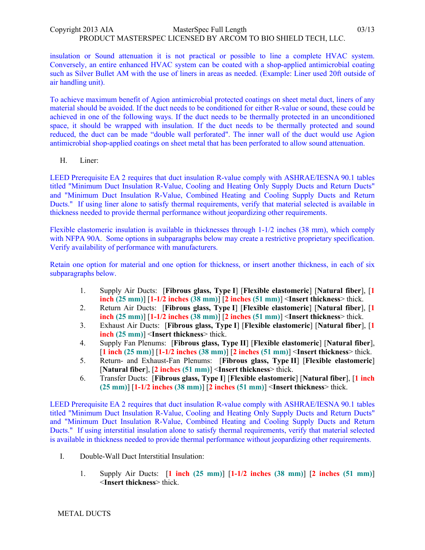insulation or Sound attenuation it is not practical or possible to line a complete HVAC system. Conversely, an entire enhanced HVAC system can be coated with a shop-applied antimicrobial coating such as Silver Bullet AM with the use of liners in areas as needed. (Example: Liner used 20ft outside of air handling unit).

To achieve maximum benefit of Agion antimicrobial protected coatings on sheet metal duct, liners of any material should be avoided. If the duct needs to be conditioned for either R-value or sound, these could be achieved in one of the following ways. If the duct needs to be thermally protected in an unconditioned space, it should be wrapped with insulation. If the duct needs to be thermally protected and sound reduced, the duct can be made "double wall perforated". The inner wall of the duct would use Agion antimicrobial shop-applied coatings on sheet metal that has been perforated to allow sound attenuation.

H. Liner:

LEED Prerequisite EA 2 requires that duct insulation R-value comply with ASHRAE/IESNA 90.1 tables titled "Minimum Duct Insulation R-Value, Cooling and Heating Only Supply Ducts and Return Ducts" and "Minimum Duct Insulation R-Value, Combined Heating and Cooling Supply Ducts and Return Ducts." If using liner alone to satisfy thermal requirements, verify that material selected is available in thickness needed to provide thermal performance without jeopardizing other requirements.

Flexible elastomeric insulation is available in thicknesses through 1-1/2 inches (38 mm), which comply with NFPA 90A. Some options in subparagraphs below may create a restrictive proprietary specification. Verify availability of performance with manufacturers.

Retain one option for material and one option for thickness, or insert another thickness, in each of six subparagraphs below.

- 1. Supply Air Ducts: [**Fibrous glass, Type I**] [**Flexible elastomeric**] [**Natural fiber**], [**1 inch (25 mm)**] [**1-1/2 inches (38 mm)**] [**2 inches (51 mm)**] <**Insert thickness**> thick.
- 2. Return Air Ducts: [**Fibrous glass, Type I**] [**Flexible elastomeric**] [**Natural fiber**], [**1 inch (25 mm)**] [**1-1/2 inches (38 mm)**] [**2 inches (51 mm)**] <**Insert thickness**> thick.
- 3. Exhaust Air Ducts: [**Fibrous glass, Type I**] [**Flexible elastomeric**] [**Natural fiber**], [**1 inch (25 mm)**] <**Insert thickness**> thick.
- 4. Supply Fan Plenums: [**Fibrous glass, Type II**] [**Flexible elastomeric**] [**Natural fiber**], [**1 inch (25 mm)**] [**1-1/2 inches (38 mm)**] [**2 inches (51 mm)**] <**Insert thickness**> thick.
- 5. Return- and Exhaust-Fan Plenums: [**Fibrous glass, Type II**] [**Flexible elastomeric**] [**Natural fiber**], [**2 inches (51 mm)**] <**Insert thickness**> thick.
- 6. Transfer Ducts: [**Fibrous glass, Type I**] [**Flexible elastomeric**] [**Natural fiber**], [**1 inch (25 mm)**] [**1-1/2 inches (38 mm)**] [**2 inches (51 mm)**] <**Insert thickness**> thick.

LEED Prerequisite EA 2 requires that duct insulation R-value comply with ASHRAE/IESNA 90.1 tables titled "Minimum Duct Insulation R-Value, Cooling and Heating Only Supply Ducts and Return Ducts" and "Minimum Duct Insulation R-Value, Combined Heating and Cooling Supply Ducts and Return Ducts." If using interstitial insulation alone to satisfy thermal requirements, verify that material selected is available in thickness needed to provide thermal performance without jeopardizing other requirements.

- I. Double-Wall Duct Interstitial Insulation:
	- 1. Supply Air Ducts: [**1 inch (25 mm)**] [**1-1/2 inches (38 mm)**] [**2 inches (51 mm)**] <**Insert thickness**> thick.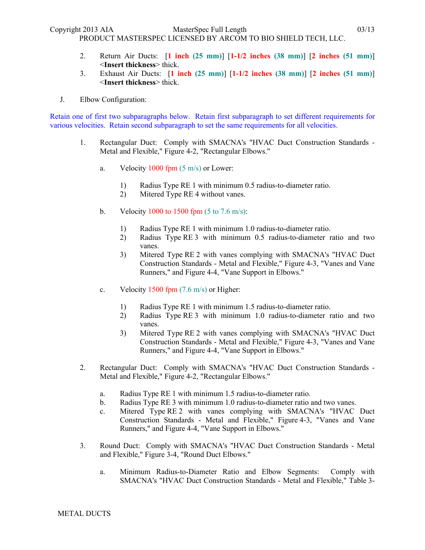- 2. Return Air Ducts: [**1 inch (25 mm)**] [**1-1/2 inches (38 mm)**] [**2 inches (51 mm)**] <**Insert thickness**> thick.
- 3. Exhaust Air Ducts: [**1 inch (25 mm)**] [**1-1/2 inches (38 mm)**] [**2 inches (51 mm)**] <**Insert thickness**> thick.
- J. Elbow Configuration:

Retain one of first two subparagraphs below. Retain first subparagraph to set different requirements for various velocities. Retain second subparagraph to set the same requirements for all velocities.

- 1. Rectangular Duct: Comply with SMACNA's "HVAC Duct Construction Standards Metal and Flexible," Figure 4-2, "Rectangular Elbows."
	- a. Velocity  $1000$  fpm  $(5 \text{ m/s})$  or Lower:
		- 1) Radius Type RE 1 with minimum 0.5 radius-to-diameter ratio.
		- 2) Mitered Type RE 4 without vanes.
	- b. Velocity 1000 to 1500 fpm  $(5 \text{ to } 7.6 \text{ m/s})$ :
		- 1) Radius Type RE 1 with minimum 1.0 radius-to-diameter ratio.
		- 2) Radius Type RE 3 with minimum 0.5 radius-to-diameter ratio and two vanes.
		- 3) Mitered Type RE 2 with vanes complying with SMACNA's "HVAC Duct Construction Standards - Metal and Flexible," Figure 4-3, "Vanes and Vane Runners," and Figure 4-4, "Vane Support in Elbows."
	- c. Velocity  $1500$  fpm  $(7.6 \text{ m/s})$  or Higher:
		- 1) Radius Type RE 1 with minimum 1.5 radius-to-diameter ratio.
		- 2) Radius Type RE 3 with minimum 1.0 radius-to-diameter ratio and two vanes.
		- 3) Mitered Type RE 2 with vanes complying with SMACNA's "HVAC Duct Construction Standards - Metal and Flexible," Figure 4-3, "Vanes and Vane Runners," and Figure 4-4, "Vane Support in Elbows."
- 2. Rectangular Duct: Comply with SMACNA's "HVAC Duct Construction Standards Metal and Flexible," Figure 4-2, "Rectangular Elbows."
	- a. Radius Type RE 1 with minimum 1.5 radius-to-diameter ratio.
	- b. Radius Type RE 3 with minimum 1.0 radius-to-diameter ratio and two vanes.
	- c. Mitered Type RE 2 with vanes complying with SMACNA's "HVAC Duct Construction Standards - Metal and Flexible," Figure 4-3, "Vanes and Vane Runners," and Figure 4-4, "Vane Support in Elbows."
- 3. Round Duct: Comply with SMACNA's "HVAC Duct Construction Standards Metal and Flexible," Figure 3-4, "Round Duct Elbows."
	- a. Minimum Radius-to-Diameter Ratio and Elbow Segments: Comply with SMACNA's "HVAC Duct Construction Standards - Metal and Flexible," Table 3-